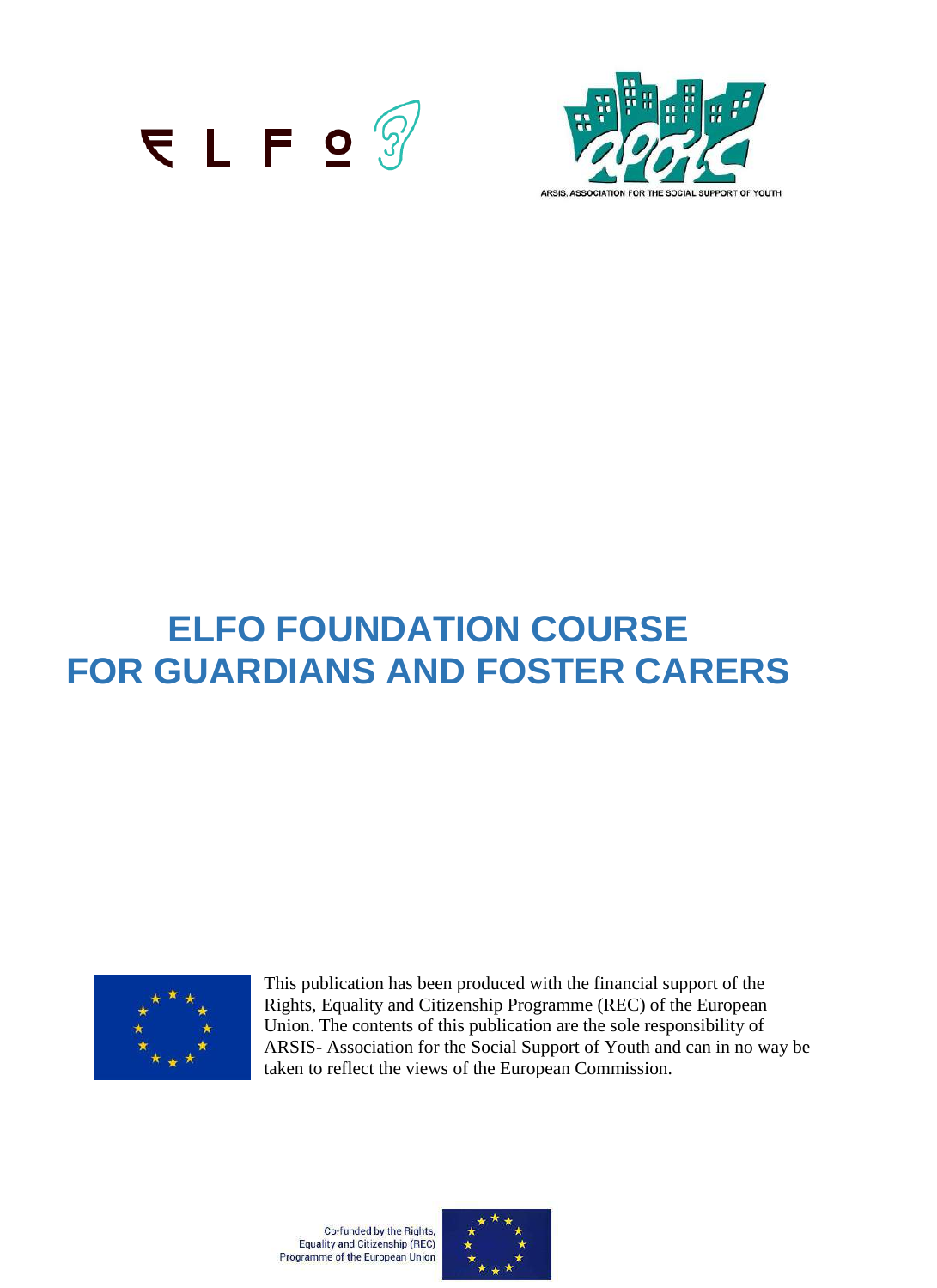



# **ELFO FOUNDATION COURSE FOR GUARDIANS AND FOSTER CARERS**



This publication has been produced with the financial support of the Rights, Equality and Citizenship Programme (REC) of the European Union. The contents of this publication are the sole responsibility of ARSIS- Association for the Social Support of Youth and can in no way be taken to reflect the views of the European Commission.

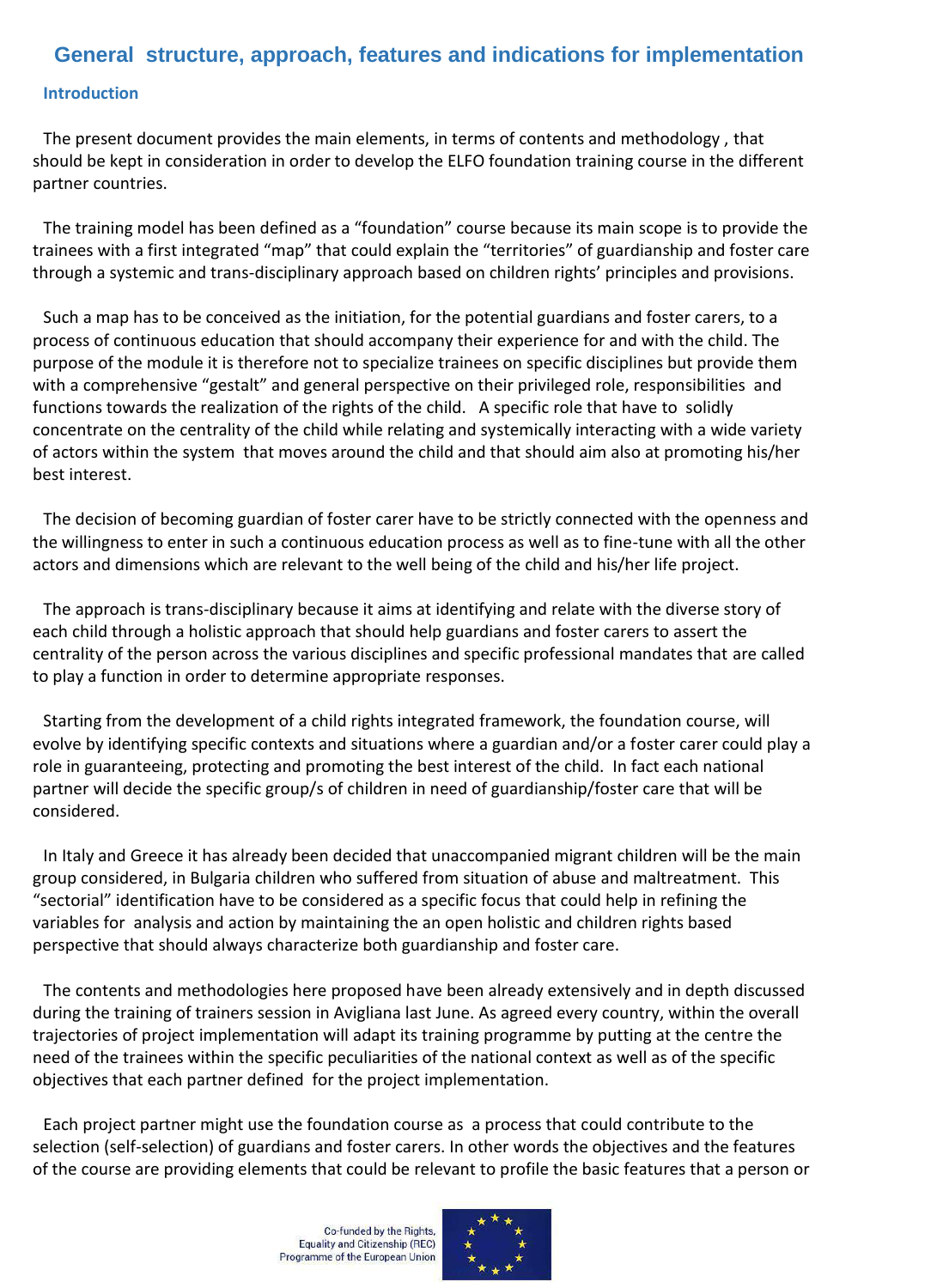## **General structure, approach, features and indications for implementation**

#### **Introduction**

The present document provides the main elements, in terms of contents and methodology , that should be kept in consideration in order to develop the ELFO foundation training course in the different partner countries.

The training model has been defined as a "foundation" course because its main scope is to provide the trainees with a first integrated "map" that could explain the "territories" of guardianship and foster care through a systemic and trans-disciplinary approach based on children rights' principles and provisions.

Such a map has to be conceived as the initiation, for the potential guardians and foster carers, to a process of continuous education that should accompany their experience for and with the child. The purpose of the module it is therefore not to specialize trainees on specific disciplines but provide them with a comprehensive "gestalt" and general perspective on their privileged role, responsibilities and functions towards the realization of the rights of the child. A specific role that have to solidly concentrate on the centrality of the child while relating and systemically interacting with a wide variety of actors within the system that moves around the child and that should aim also at promoting his/her best interest.

The decision of becoming guardian of foster carer have to be strictly connected with the openness and the willingness to enter in such a continuous education process as well as to fine-tune with all the other actors and dimensions which are relevant to the well being of the child and his/her life project.

The approach is trans-disciplinary because it aims at identifying and relate with the diverse story of each child through a holistic approach that should help guardians and foster carers to assert the centrality of the person across the various disciplines and specific professional mandates that are called to play a function in order to determine appropriate responses.

Starting from the development of a child rights integrated framework, the foundation course, will evolve by identifying specific contexts and situations where a guardian and/or a foster carer could play a role in guaranteeing, protecting and promoting the best interest of the child. In fact each national partner will decide the specific group/s of children in need of guardianship/foster care that will be considered.

In Italy and Greece it has already been decided that unaccompanied migrant children will be the main group considered, in Bulgaria children who suffered from situation of abuse and maltreatment. This "sectorial" identification have to be considered as a specific focus that could help in refining the variables for analysis and action by maintaining the an open holistic and children rights based perspective that should always characterize both guardianship and foster care.

The contents and methodologies here proposed have been already extensively and in depth discussed during the training of trainers session in Avigliana last June. As agreed every country, within the overall trajectories of project implementation will adapt its training programme by putting at the centre the need of the trainees within the specific peculiarities of the national context as well as of the specific objectives that each partner defined for the project implementation.

Each project partner might use the foundation course as a process that could contribute to the selection (self-selection) of guardians and foster carers. In other words the objectives and the features of the course are providing elements that could be relevant to profile the basic features that a person or

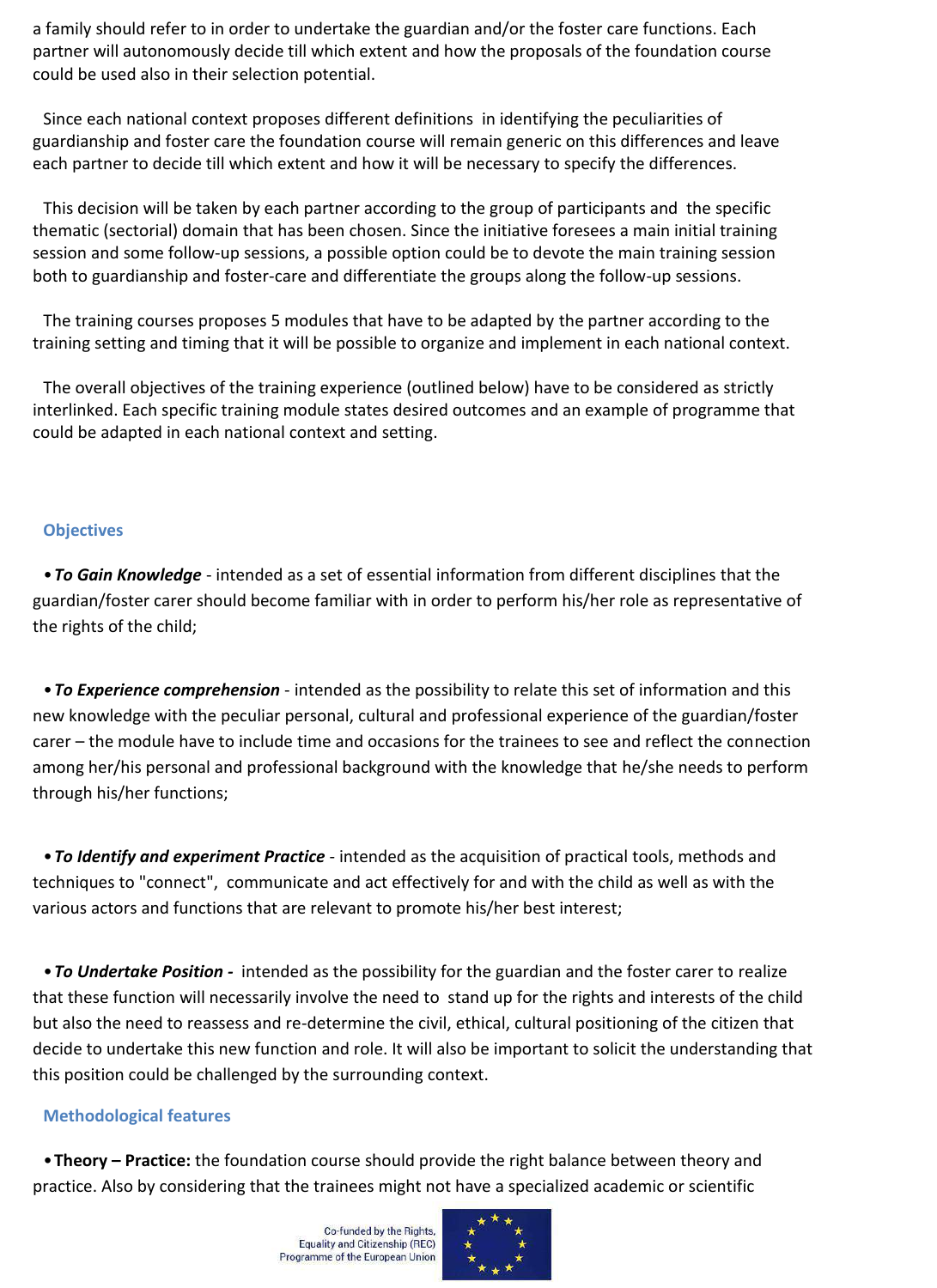a family should refer to in order to undertake the guardian and/or the foster care functions. Each partner will autonomously decide till which extent and how the proposals of the foundation course could be used also in their selection potential.

Since each national context proposes different definitions in identifying the peculiarities of guardianship and foster care the foundation course will remain generic on this differences and leave each partner to decide till which extent and how it will be necessary to specify the differences.

This decision will be taken by each partner according to the group of participants and the specific thematic (sectorial) domain that has been chosen. Since the initiative foresees a main initial training session and some follow-up sessions, a possible option could be to devote the main training session both to guardianship and foster-care and differentiate the groups along the follow-up sessions.

The training courses proposes 5 modules that have to be adapted by the partner according to the training setting and timing that it will be possible to organize and implement in each national context.

The overall objectives of the training experience (outlined below) have to be considered as strictly interlinked. Each specific training module states desired outcomes and an example of programme that could be adapted in each national context and setting.

#### **Objectives**

•*To Gain Knowledge* - intended as a set of essential information from different disciplines that the guardian/foster carer should become familiar with in order to perform his/her role as representative of the rights of the child;

•*To Experience comprehension* - intended as the possibility to relate this set of information and this new knowledge with the peculiar personal, cultural and professional experience of the guardian/foster carer – the module have to include time and occasions for the trainees to see and reflect the connection among her/his personal and professional background with the knowledge that he/she needs to perform through his/her functions;

•*To Identify and experiment Practice* - intended as the acquisition of practical tools, methods and techniques to "connect", communicate and act effectively for and with the child as well as with the various actors and functions that are relevant to promote his/her best interest;

•*To Undertake Position -* intended as the possibility for the guardian and the foster carer to realize that these function will necessarily involve the need to stand up for the rights and interests of the child but also the need to reassess and re-determine the civil, ethical, cultural positioning of the citizen that decide to undertake this new function and role. It will also be important to solicit the understanding that this position could be challenged by the surrounding context.

#### **Methodological features**

•**Theory – Practice:** the foundation course should provide the right balance between theory and practice. Also by considering that the trainees might not have a specialized academic or scientific

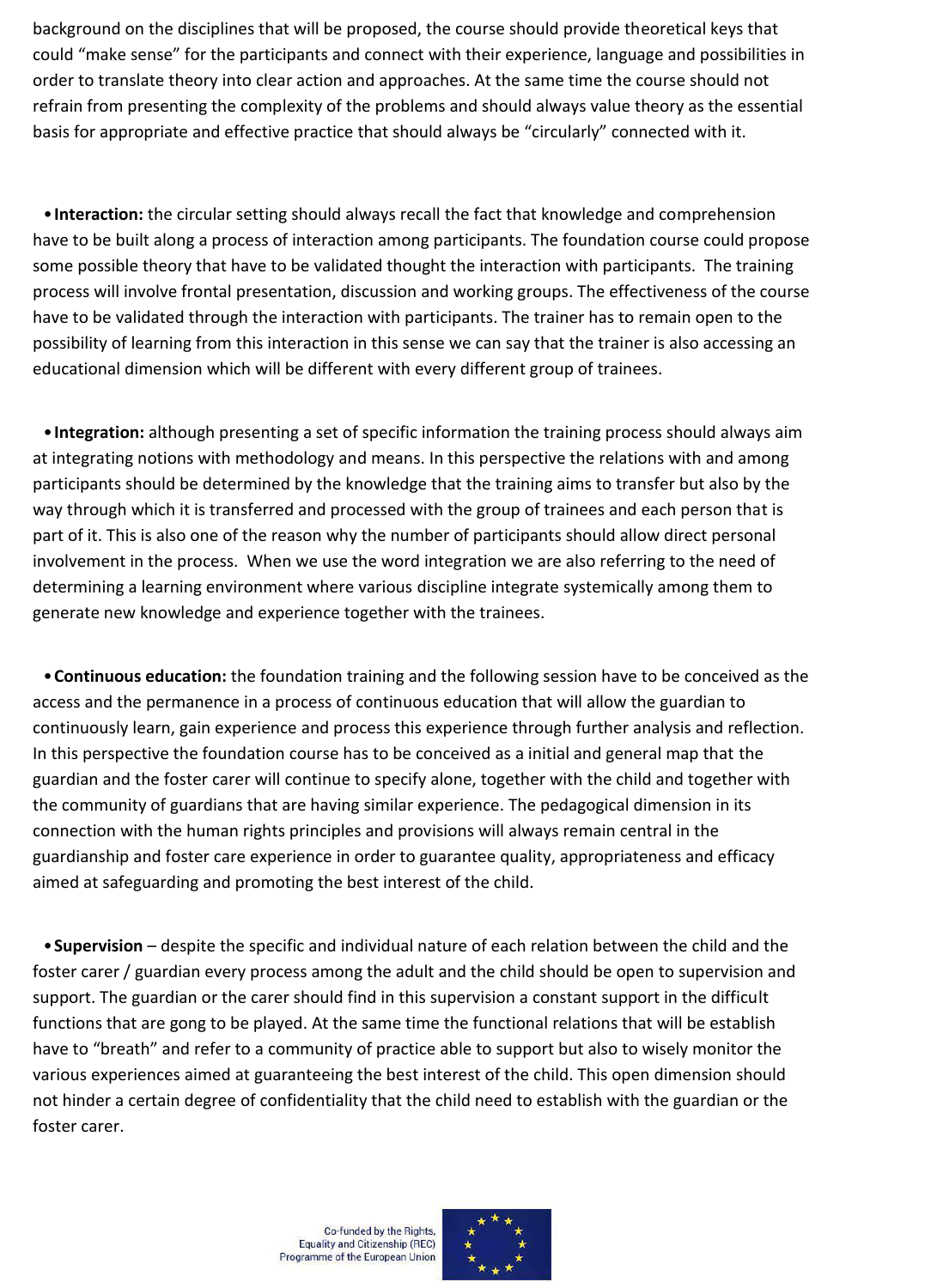background on the disciplines that will be proposed, the course should provide theoretical keys that could "make sense" for the participants and connect with their experience, language and possibilities in order to translate theory into clear action and approaches. At the same time the course should not refrain from presenting the complexity of the problems and should always value theory as the essential basis for appropriate and effective practice that should always be "circularly" connected with it.

•**Interaction:** the circular setting should always recall the fact that knowledge and comprehension have to be built along a process of interaction among participants. The foundation course could propose some possible theory that have to be validated thought the interaction with participants. The training process will involve frontal presentation, discussion and working groups. The effectiveness of the course have to be validated through the interaction with participants. The trainer has to remain open to the possibility of learning from this interaction in this sense we can say that the trainer is also accessing an educational dimension which will be different with every different group of trainees.

•**Integration:** although presenting a set of specific information the training process should always aim at integrating notions with methodology and means. In this perspective the relations with and among participants should be determined by the knowledge that the training aims to transfer but also by the way through which it is transferred and processed with the group of trainees and each person that is part of it. This is also one of the reason why the number of participants should allow direct personal involvement in the process. When we use the word integration we are also referring to the need of determining a learning environment where various discipline integrate systemically among them to generate new knowledge and experience together with the trainees.

•**Continuous education:** the foundation training and the following session have to be conceived as the access and the permanence in a process of continuous education that will allow the guardian to continuously learn, gain experience and process this experience through further analysis and reflection. In this perspective the foundation course has to be conceived as a initial and general map that the guardian and the foster carer will continue to specify alone, together with the child and together with the community of guardians that are having similar experience. The pedagogical dimension in its connection with the human rights principles and provisions will always remain central in the guardianship and foster care experience in order to guarantee quality, appropriateness and efficacy aimed at safeguarding and promoting the best interest of the child.

•**Supervision** – despite the specific and individual nature of each relation between the child and the foster carer / guardian every process among the adult and the child should be open to supervision and support. The guardian or the carer should find in this supervision a constant support in the difficult functions that are gong to be played. At the same time the functional relations that will be establish have to "breath" and refer to a community of practice able to support but also to wisely monitor the various experiences aimed at guaranteeing the best interest of the child. This open dimension should not hinder a certain degree of confidentiality that the child need to establish with the guardian or the foster carer.

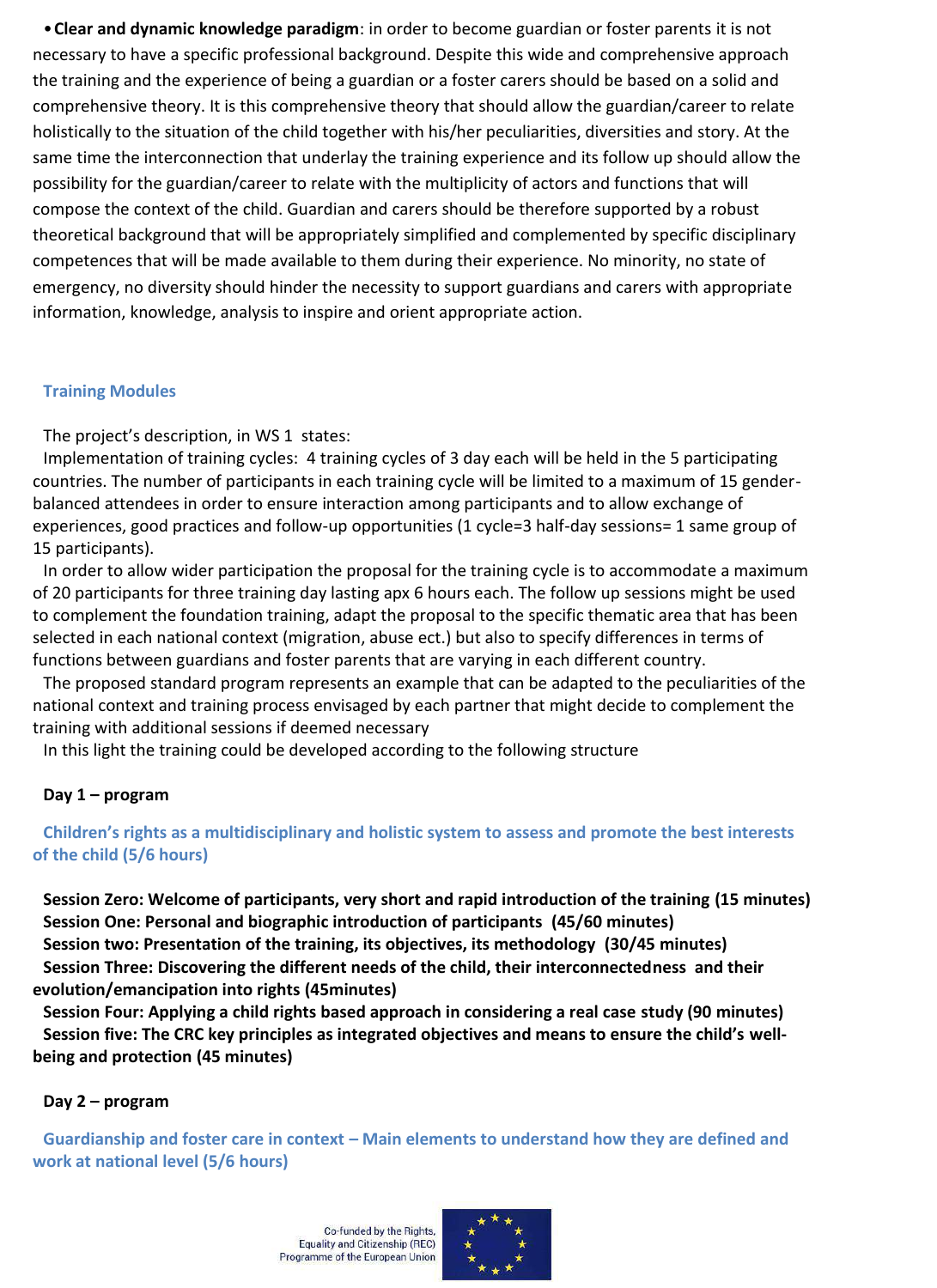•**Clear and dynamic knowledge paradigm**: in order to become guardian or foster parents it is not necessary to have a specific professional background. Despite this wide and comprehensive approach the training and the experience of being a guardian or a foster carers should be based on a solid and comprehensive theory. It is this comprehensive theory that should allow the guardian/career to relate holistically to the situation of the child together with his/her peculiarities, diversities and story. At the same time the interconnection that underlay the training experience and its follow up should allow the possibility for the guardian/career to relate with the multiplicity of actors and functions that will compose the context of the child. Guardian and carers should be therefore supported by a robust theoretical background that will be appropriately simplified and complemented by specific disciplinary competences that will be made available to them during their experience. No minority, no state of emergency, no diversity should hinder the necessity to support guardians and carers with appropriate information, knowledge, analysis to inspire and orient appropriate action.

#### **Training Modules**

The project's description, in WS 1 states:

Implementation of training cycles: 4 training cycles of 3 day each will be held in the 5 participating countries. The number of participants in each training cycle will be limited to a maximum of 15 genderbalanced attendees in order to ensure interaction among participants and to allow exchange of experiences, good practices and follow-up opportunities (1 cycle=3 half-day sessions= 1 same group of 15 participants).

In order to allow wider participation the proposal for the training cycle is to accommodate a maximum of 20 participants for three training day lasting apx 6 hours each. The follow up sessions might be used to complement the foundation training, adapt the proposal to the specific thematic area that has been selected in each national context (migration, abuse ect.) but also to specify differences in terms of functions between guardians and foster parents that are varying in each different country.

The proposed standard program represents an example that can be adapted to the peculiarities of the national context and training process envisaged by each partner that might decide to complement the training with additional sessions if deemed necessary

In this light the training could be developed according to the following structure

#### **Day 1 – program**

**Children's rights as a multidisciplinary and holistic system to assess and promote the best interests of the child (5/6 hours)**

**Session Zero: Welcome of participants, very short and rapid introduction of the training (15 minutes) Session One: Personal and biographic introduction of participants (45/60 minutes) Session two: Presentation of the training, its objectives, its methodology (30/45 minutes) Session Three: Discovering the different needs of the child, their interconnectedness and their evolution/emancipation into rights (45minutes)**

**Session Four: Applying a child rights based approach in considering a real case study (90 minutes) Session five: The CRC key principles as integrated objectives and means to ensure the child's wellbeing and protection (45 minutes)**

#### **Day 2 – program**

**Guardianship and foster care in context – Main elements to understand how they are defined and work at national level (5/6 hours)**

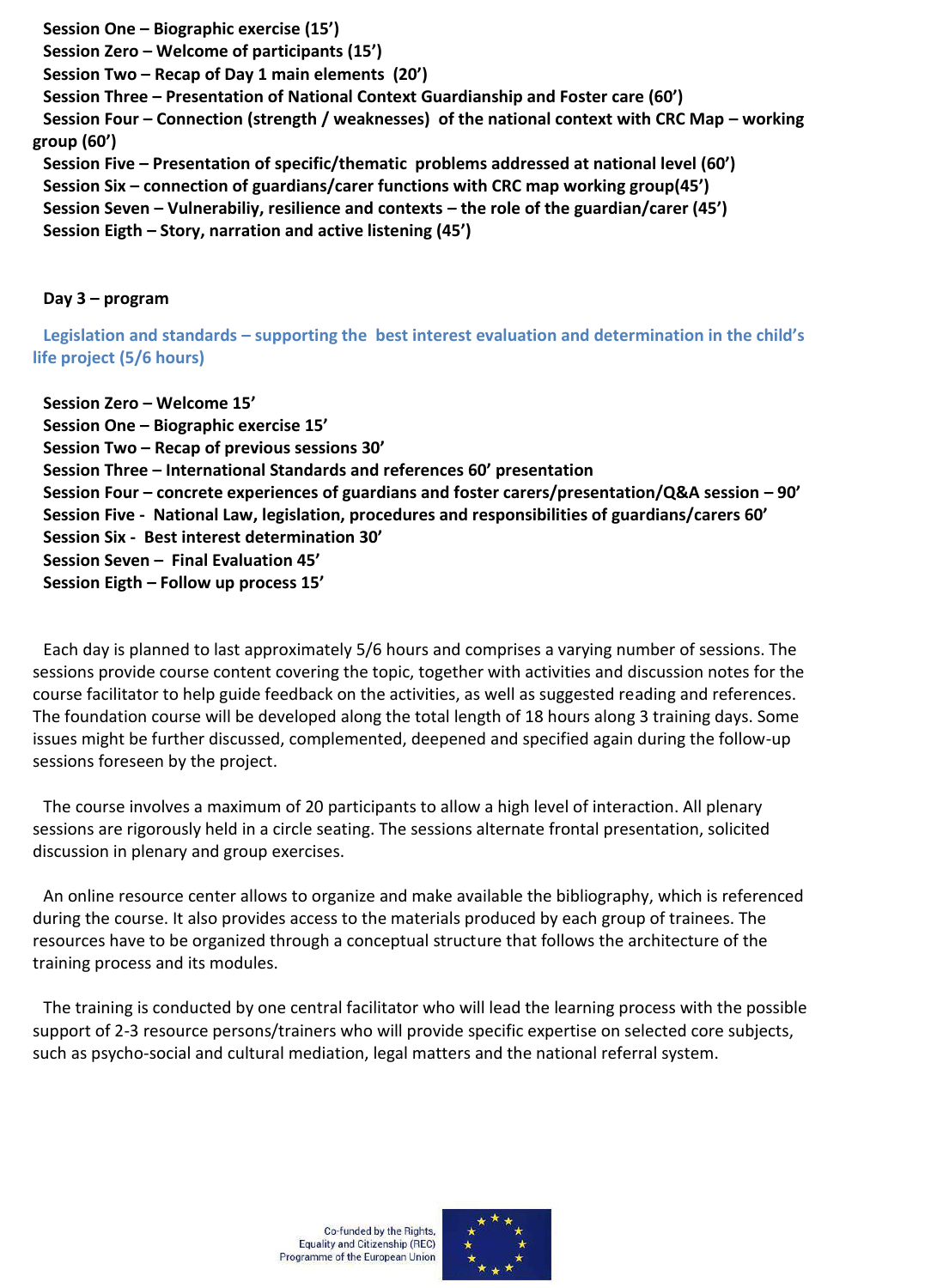**Session One – Biographic exercise (15')**

**Session Zero – Welcome of participants (15')**

**Session Two – Recap of Day 1 main elements (20')**

**Session Three – Presentation of National Context Guardianship and Foster care (60')**

**Session Four – Connection (strength / weaknesses) of the national context with CRC Map – working group (60')**

**Session Five – Presentation of specific/thematic problems addressed at national level (60') Session Six – connection of guardians/carer functions with CRC map working group(45') Session Seven – Vulnerabiliy, resilience and contexts – the role of the guardian/carer (45') Session Eigth – Story, narration and active listening (45')**

**Day 3 – program**

**Legislation and standards – supporting the best interest evaluation and determination in the child's life project (5/6 hours)**

**Session Zero – Welcome 15' Session One – Biographic exercise 15' Session Two – Recap of previous sessions 30' Session Three – International Standards and references 60' presentation Session Four – concrete experiences of guardians and foster carers/presentation/Q&A session – 90' Session Five - National Law, legislation, procedures and responsibilities of guardians/carers 60' Session Six - Best interest determination 30' Session Seven – Final Evaluation 45' Session Eigth – Follow up process 15'**

Each day is planned to last approximately 5/6 hours and comprises a varying number of sessions. The sessions provide course content covering the topic, together with activities and discussion notes for the course facilitator to help guide feedback on the activities, as well as suggested reading and references. The foundation course will be developed along the total length of 18 hours along 3 training days. Some issues might be further discussed, complemented, deepened and specified again during the follow-up sessions foreseen by the project.

The course involves a maximum of 20 participants to allow a high level of interaction. All plenary sessions are rigorously held in a circle seating. The sessions alternate frontal presentation, solicited discussion in plenary and group exercises.

An online resource center allows to organize and make available the bibliography, which is referenced during the course. It also provides access to the materials produced by each group of trainees. The resources have to be organized through a conceptual structure that follows the architecture of the training process and its modules.

The training is conducted by one central facilitator who will lead the learning process with the possible support of 2-3 resource persons/trainers who will provide specific expertise on selected core subjects, such as psycho-social and cultural mediation, legal matters and the national referral system.

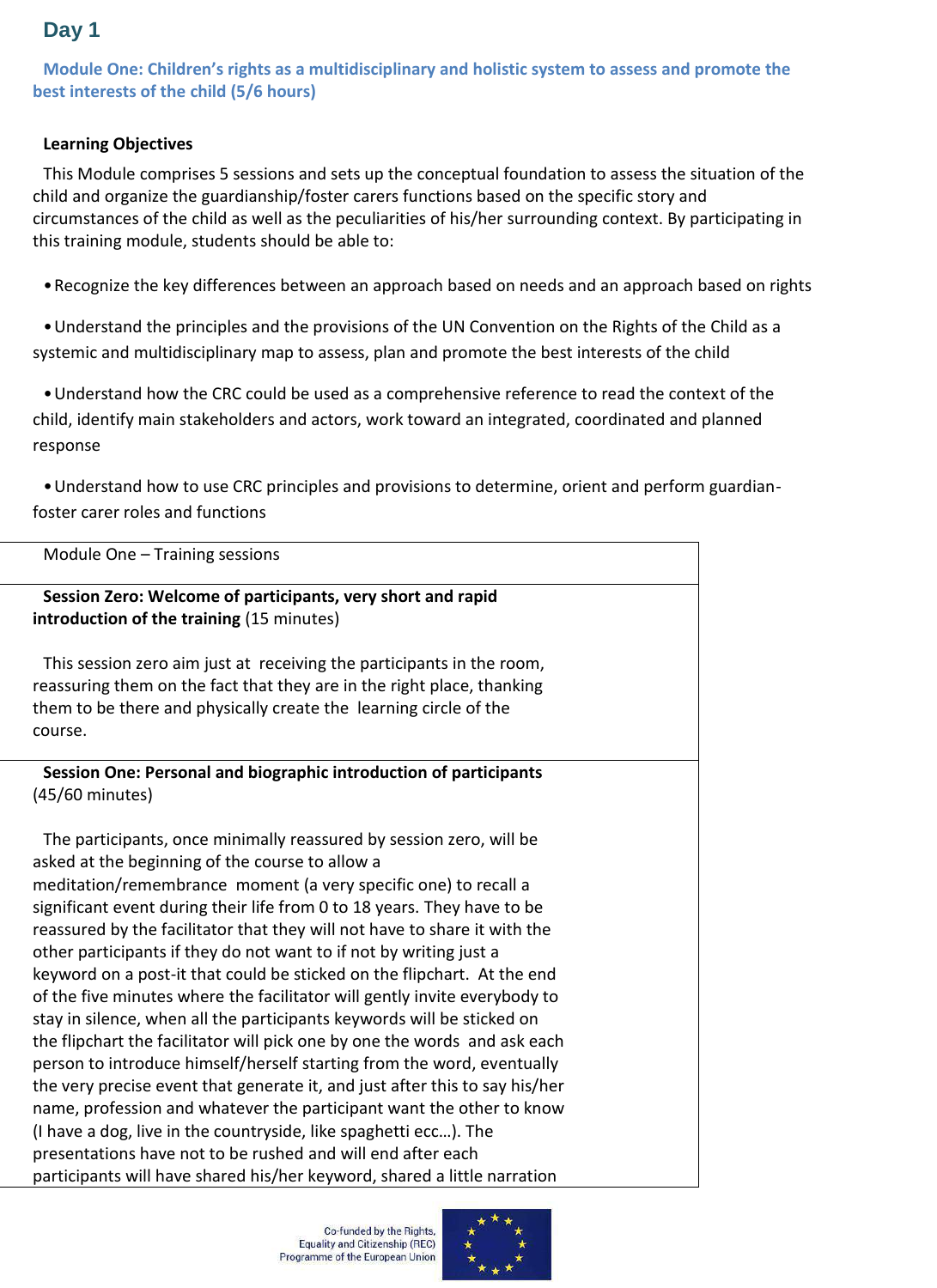# **Day 1**

**Module One: Children's rights as a multidisciplinary and holistic system to assess and promote the best interests of the child (5/6 hours)**

#### **Learning Objectives**

This Module comprises 5 sessions and sets up the conceptual foundation to assess the situation of the child and organize the guardianship/foster carers functions based on the specific story and circumstances of the child as well as the peculiarities of his/her surrounding context. By participating in this training module, students should be able to:

•Recognize the key differences between an approach based on needs and an approach based on rights

•Understand the principles and the provisions of the UN Convention on the Rights of the Child as a systemic and multidisciplinary map to assess, plan and promote the best interests of the child

•Understand how the CRC could be used as a comprehensive reference to read the context of the child, identify main stakeholders and actors, work toward an integrated, coordinated and planned response

•Understand how to use CRC principles and provisions to determine, orient and perform guardianfoster carer roles and functions

| Module One - Training sessions                                                                                                                      |  |  |
|-----------------------------------------------------------------------------------------------------------------------------------------------------|--|--|
| Session Zero: Welcome of participants, very short and rapid                                                                                         |  |  |
| introduction of the training (15 minutes)                                                                                                           |  |  |
|                                                                                                                                                     |  |  |
| This session zero aim just at receiving the participants in the room,                                                                               |  |  |
| reassuring them on the fact that they are in the right place, thanking                                                                              |  |  |
| them to be there and physically create the learning circle of the                                                                                   |  |  |
| course.                                                                                                                                             |  |  |
|                                                                                                                                                     |  |  |
| Session One: Personal and biographic introduction of participants                                                                                   |  |  |
| (45/60 minutes)                                                                                                                                     |  |  |
|                                                                                                                                                     |  |  |
| The participants, once minimally reassured by session zero, will be                                                                                 |  |  |
| asked at the beginning of the course to allow a                                                                                                     |  |  |
| meditation/remembrance moment (a very specific one) to recall a                                                                                     |  |  |
| significant event during their life from 0 to 18 years. They have to be                                                                             |  |  |
| reassured by the facilitator that they will not have to share it with the                                                                           |  |  |
| other participants if they do not want to if not by writing just a<br>keyword on a post-it that could be sticked on the flipchart. At the end       |  |  |
|                                                                                                                                                     |  |  |
| of the five minutes where the facilitator will gently invite everybody to<br>stay in silence, when all the participants keywords will be sticked on |  |  |
|                                                                                                                                                     |  |  |
| the flipchart the facilitator will pick one by one the words and ask each<br>person to introduce himself/herself starting from the word, eventually |  |  |
| the very precise event that generate it, and just after this to say his/her                                                                         |  |  |
| name, profession and whatever the participant want the other to know                                                                                |  |  |
| (I have a dog, live in the countryside, like spaghetti ecc). The                                                                                    |  |  |
| presentations have not to be rushed and will end after each                                                                                         |  |  |
| participants will have shared his/her keyword, shared a little narration                                                                            |  |  |

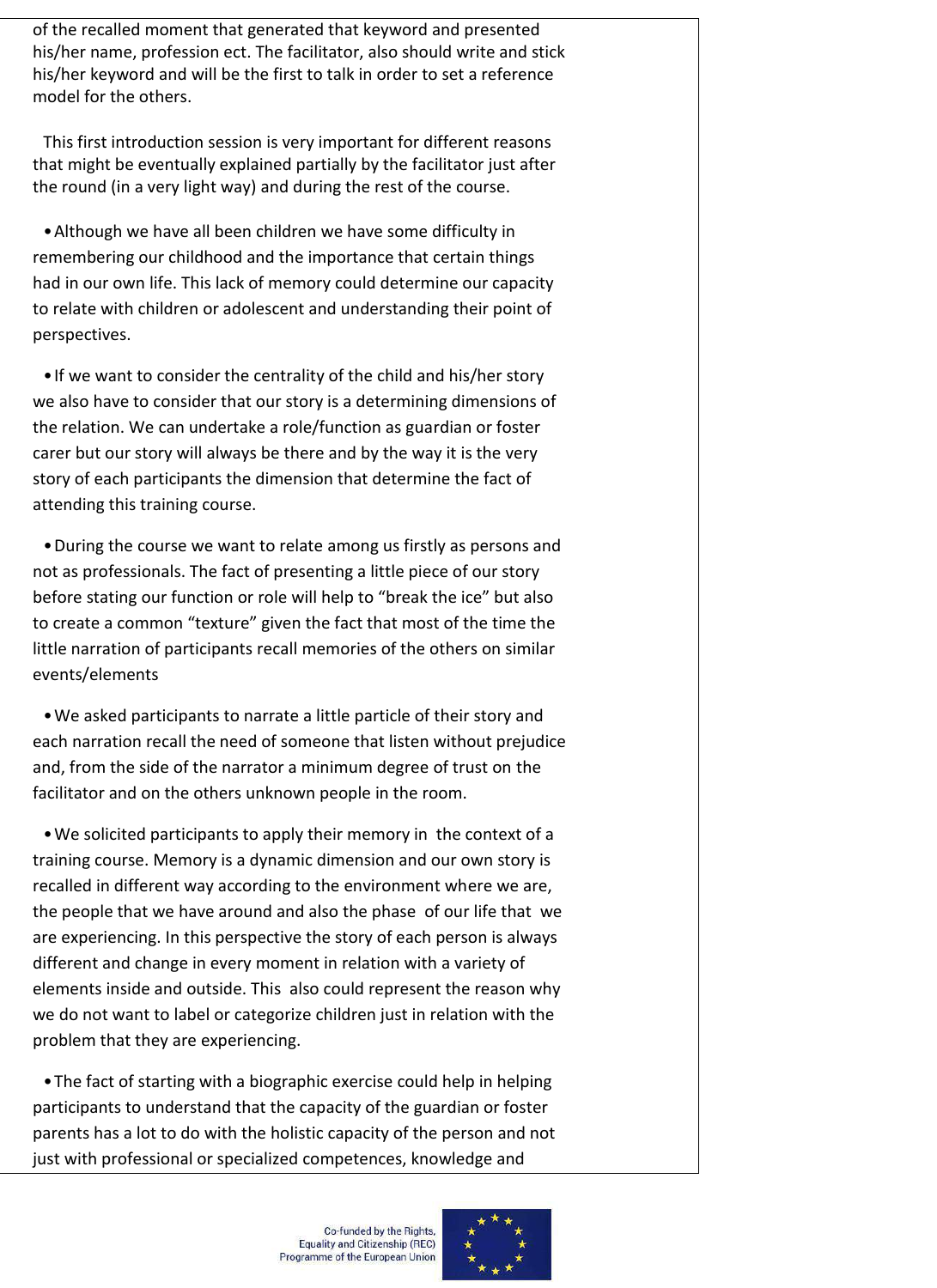of the recalled moment that generated that keyword and presented his/her name, profession ect. The facilitator, also should write and stick his/her keyword and will be the first to talk in order to set a reference model for the others.

This first introduction session is very important for different reasons that might be eventually explained partially by the facilitator just after the round (in a very light way) and during the rest of the course.

•Although we have all been children we have some difficulty in remembering our childhood and the importance that certain things had in our own life. This lack of memory could determine our capacity to relate with children or adolescent and understanding their point of perspectives.

•If we want to consider the centrality of the child and his/her story we also have to consider that our story is a determining dimensions of the relation. We can undertake a role/function as guardian or foster carer but our story will always be there and by the way it is the very story of each participants the dimension that determine the fact of attending this training course.

•During the course we want to relate among us firstly as persons and not as professionals. The fact of presenting a little piece of our story before stating our function or role will help to "break the ice" but also to create a common "texture" given the fact that most of the time the little narration of participants recall memories of the others on similar events/elements

•We asked participants to narrate a little particle of their story and each narration recall the need of someone that listen without prejudice and, from the side of the narrator a minimum degree of trust on the facilitator and on the others unknown people in the room.

•We solicited participants to apply their memory in the context of a training course. Memory is a dynamic dimension and our own story is recalled in different way according to the environment where we are, the people that we have around and also the phase of our life that we are experiencing. In this perspective the story of each person is always different and change in every moment in relation with a variety of elements inside and outside. This also could represent the reason why we do not want to label or categorize children just in relation with the problem that they are experiencing.

•The fact of starting with a biographic exercise could help in helping participants to understand that the capacity of the guardian or foster parents has a lot to do with the holistic capacity of the person and not just with professional or specialized competences, knowledge and

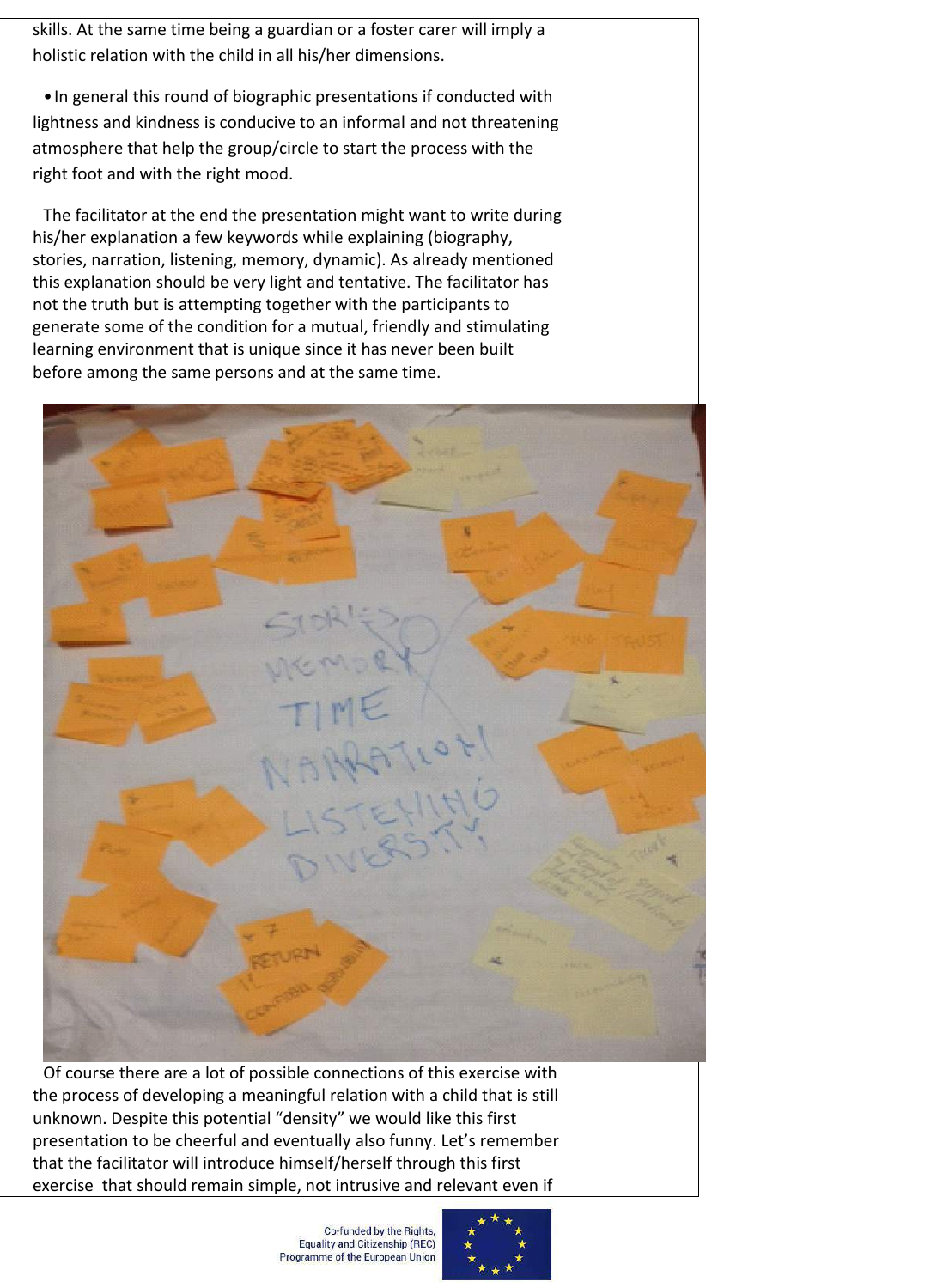skills. At the same time being a guardian or a foster carer will imply a holistic relation with the child in all his/her dimensions.

•In general this round of biographic presentations if conducted with lightness and kindness is conducive to an informal and not threatening atmosphere that help the group/circle to start the process with the right foot and with the right mood.

The facilitator at the end the presentation might want to write during his/her explanation a few keywords while explaining (biography, stories, narration, listening, memory, dynamic). As already mentioned this explanation should be very light and tentative. The facilitator has not the truth but is attempting together with the participants to generate some of the condition for a mutual, friendly and stimulating learning environment that is unique since it has never been built before among the same persons and at the same time.



Of course there are a lot of possible connections of this exercise with the process of developing a meaningful relation with a child that is still unknown. Despite this potential "density" we would like this first presentation to be cheerful and eventually also funny. Let's remember that the facilitator will introduce himself/herself through this first exercise that should remain simple, not intrusive and relevant even if

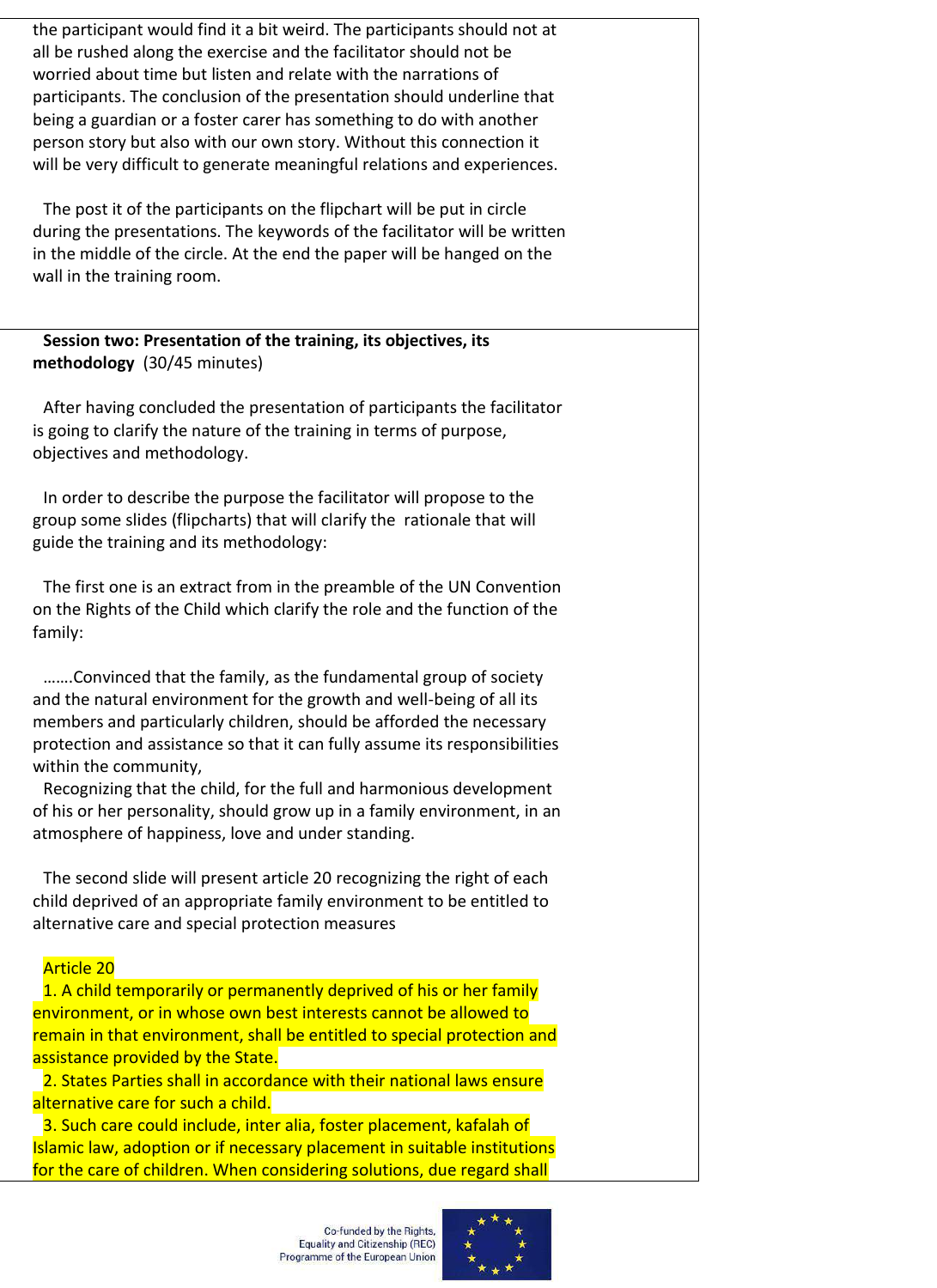the participant would find it a bit weird. The participants should not at all be rushed along the exercise and the facilitator should not be worried about time but listen and relate with the narrations of participants. The conclusion of the presentation should underline that being a guardian or a foster carer has something to do with another person story but also with our own story. Without this connection it will be very difficult to generate meaningful relations and experiences.

The post it of the participants on the flipchart will be put in circle during the presentations. The keywords of the facilitator will be written in the middle of the circle. At the end the paper will be hanged on the wall in the training room.

**Session two: Presentation of the training, its objectives, its methodology** (30/45 minutes)

After having concluded the presentation of participants the facilitator is going to clarify the nature of the training in terms of purpose, objectives and methodology.

In order to describe the purpose the facilitator will propose to the group some slides (flipcharts) that will clarify the rationale that will guide the training and its methodology:

The first one is an extract from in the preamble of the UN Convention on the Rights of the Child which clarify the role and the function of the family:

…….Convinced that the family, as the fundamental group of society and the natural environment for the growth and well-being of all its members and particularly children, should be afforded the necessary protection and assistance so that it can fully assume its responsibilities within the community,

Recognizing that the child, for the full and harmonious development of his or her personality, should grow up in a family environment, in an atmosphere of happiness, love and under standing.

The second slide will present article 20 recognizing the right of each child deprived of an appropriate family environment to be entitled to alternative care and special protection measures

#### Article 20

1. A child temporarily or permanently deprived of his or her family environment, or in whose own best interests cannot be allowed to remain in that environment, shall be entitled to special protection and assistance provided by the State.

2. States Parties shall in accordance with their national laws ensure alternative care for such a child.

3. Such care could include, inter alia, foster placement, kafalah of Islamic law, adoption or if necessary placement in suitable institutions for the care of children. When considering solutions, due regard shall

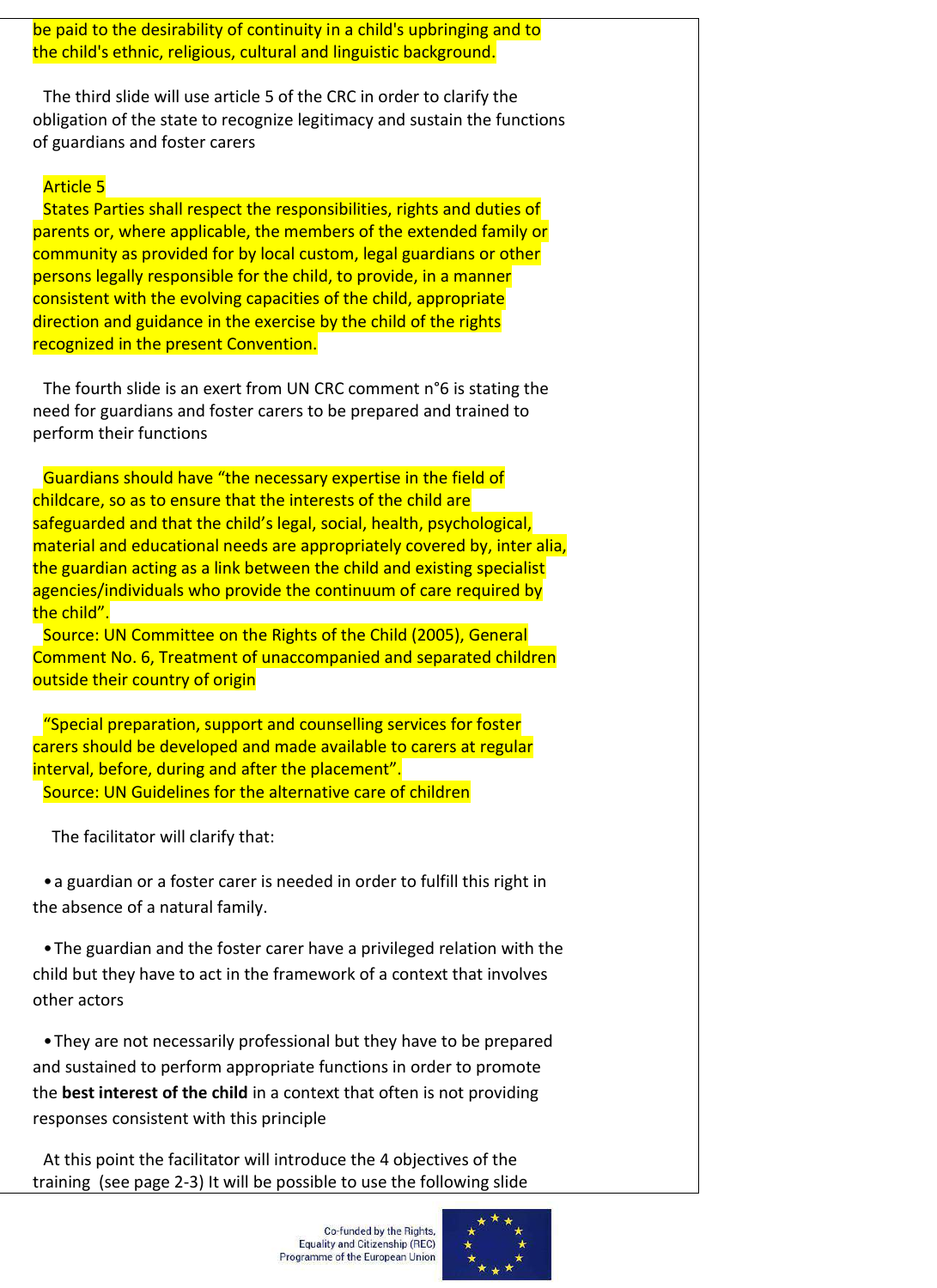be paid to the desirability of continuity in a child's upbringing and to the child's ethnic, religious, cultural and linguistic background.

The third slide will use article 5 of the CRC in order to clarify the obligation of the state to recognize legitimacy and sustain the functions of guardians and foster carers

#### Article 5

States Parties shall respect the responsibilities, rights and duties of parents or, where applicable, the members of the extended family or community as provided for by local custom, legal guardians or other persons legally responsible for the child, to provide, in a manner consistent with the evolving capacities of the child, appropriate direction and guidance in the exercise by the child of the rights recognized in the present Convention.

The fourth slide is an exert from UN CRC comment n°6 is stating the need for guardians and foster carers to be prepared and trained to perform their functions

Guardians should have "the necessary expertise in the field of childcare, so as to ensure that the interests of the child are safeguarded and that the child's legal, social, health, psychological, material and educational needs are appropriately covered by, inter alia, the guardian acting as a link between the child and existing specialist agencies/individuals who provide the continuum of care required by the child".

Source: UN Committee on the Rights of the Child (2005), General Comment No. 6, Treatment of unaccompanied and separated children outside their country of origin

"Special preparation, support and counselling services for foster carers should be developed and made available to carers at regular interval, before, during and after the placement". Source: UN Guidelines for the alternative care of children

The facilitator will clarify that:

•a guardian or a foster carer is needed in order to fulfill this right in the absence of a natural family.

•The guardian and the foster carer have a privileged relation with the child but they have to act in the framework of a context that involves other actors

•They are not necessarily professional but they have to be prepared and sustained to perform appropriate functions in order to promote the **best interest of the child** in a context that often is not providing responses consistent with this principle

At this point the facilitator will introduce the 4 objectives of the training (see page 2-3) It will be possible to use the following slide

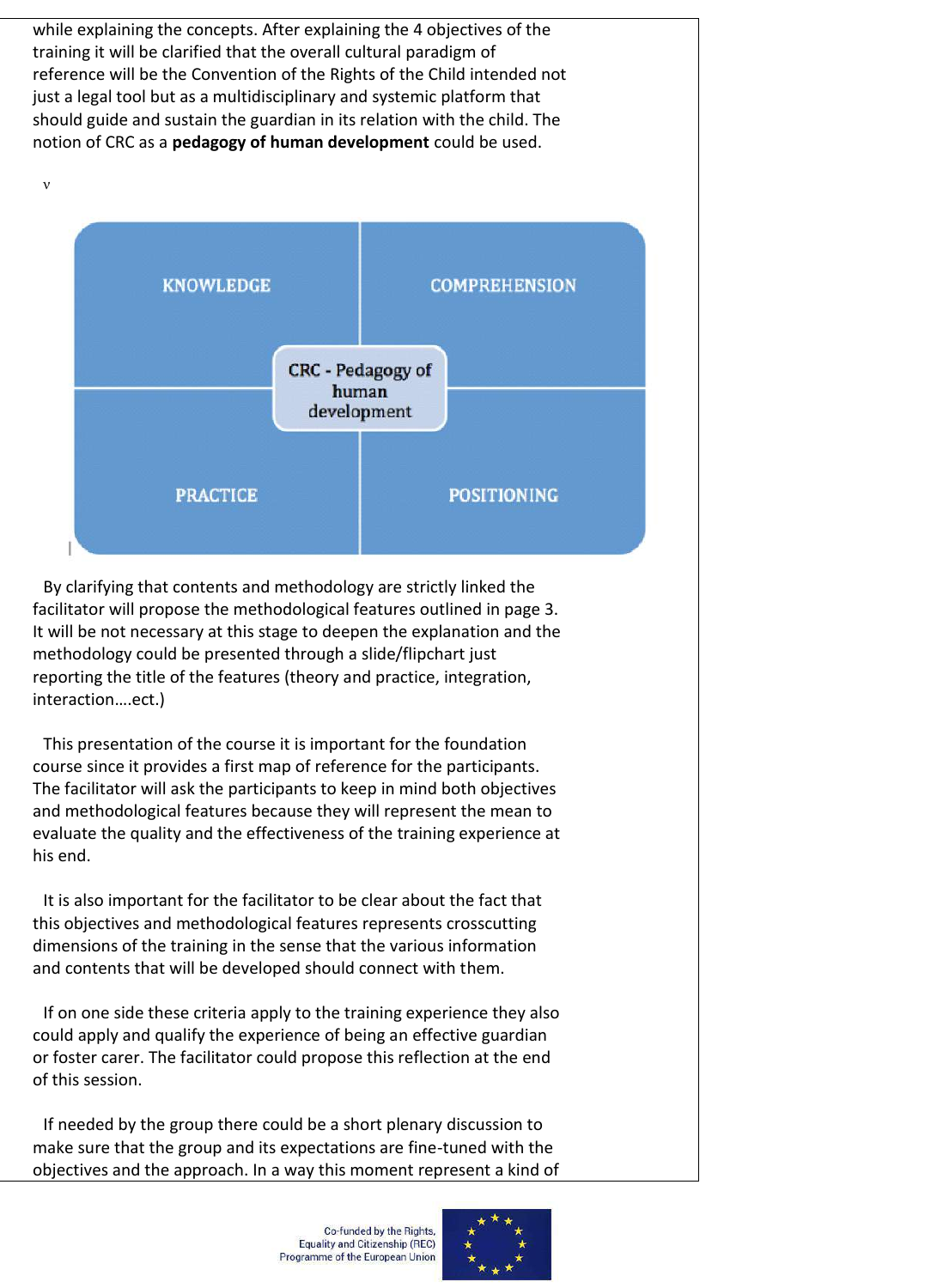while explaining the concepts. After explaining the 4 objectives of the training it will be clarified that the overall cultural paradigm of reference will be the Convention of the Rights of the Child intended not just a legal tool but as a multidisciplinary and systemic platform that should guide and sustain the guardian in its relation with the child. The notion of CRC as a **pedagogy of human development** could be used.



By clarifying that contents and methodology are strictly linked the facilitator will propose the methodological features outlined in page 3. It will be not necessary at this stage to deepen the explanation and the methodology could be presented through a slide/flipchart just reporting the title of the features (theory and practice, integration, interaction….ect.)

This presentation of the course it is important for the foundation course since it provides a first map of reference for the participants. The facilitator will ask the participants to keep in mind both objectives and methodological features because they will represent the mean to evaluate the quality and the effectiveness of the training experience at his end.

It is also important for the facilitator to be clear about the fact that this objectives and methodological features represents crosscutting dimensions of the training in the sense that the various information and contents that will be developed should connect with them.

If on one side these criteria apply to the training experience they also could apply and qualify the experience of being an effective guardian or foster carer. The facilitator could propose this reflection at the end of this session.

If needed by the group there could be a short plenary discussion to make sure that the group and its expectations are fine-tuned with the objectives and the approach. In a way this moment represent a kind of

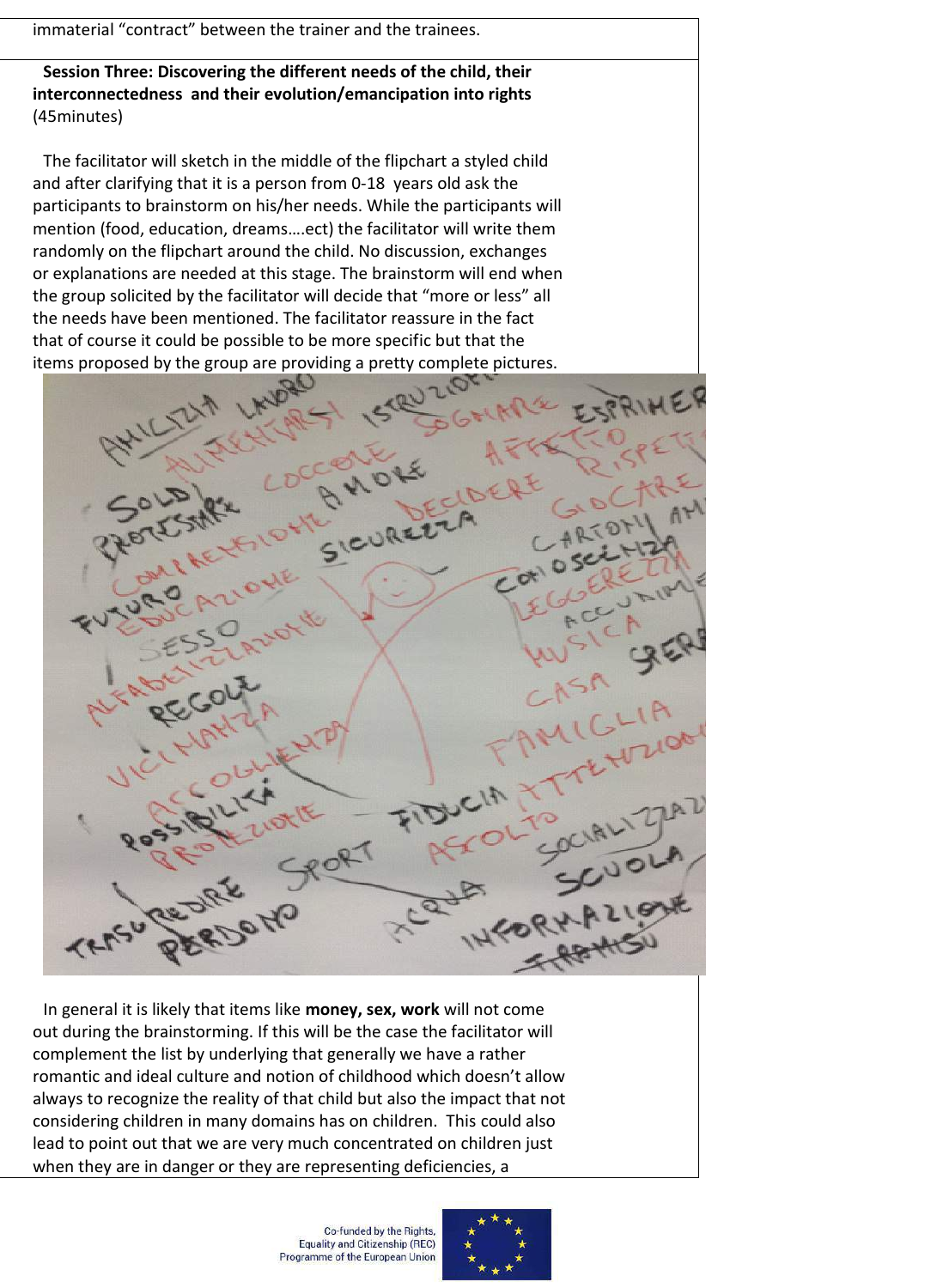immaterial "contract" between the trainer and the trainees.

**Session Three: Discovering the different needs of the child, their interconnectedness and their evolution/emancipation into rights** (45minutes)

The facilitator will sketch in the middle of the flipchart a styled child and after clarifying that it is a person from 0-18 years old ask the participants to brainstorm on his/her needs. While the participants will mention (food, education, dreams….ect) the facilitator will write them randomly on the flipchart around the child. No discussion, exchanges or explanations are needed at this stage. The brainstorm will end when the group solicited by the facilitator will decide that "more or less" all the needs have been mentioned. The facilitator reassure in the fact that of course it could be possible to be more specific but that the items proposed by the group are providing a pretty complete pictures.



In general it is likely that items like **money, sex, work** will not come out during the brainstorming. If this will be the case the facilitator will complement the list by underlying that generally we have a rather romantic and ideal culture and notion of childhood which doesn't allow always to recognize the reality of that child but also the impact that not considering children in many domains has on children. This could also lead to point out that we are very much concentrated on children just when they are in danger or they are representing deficiencies, a

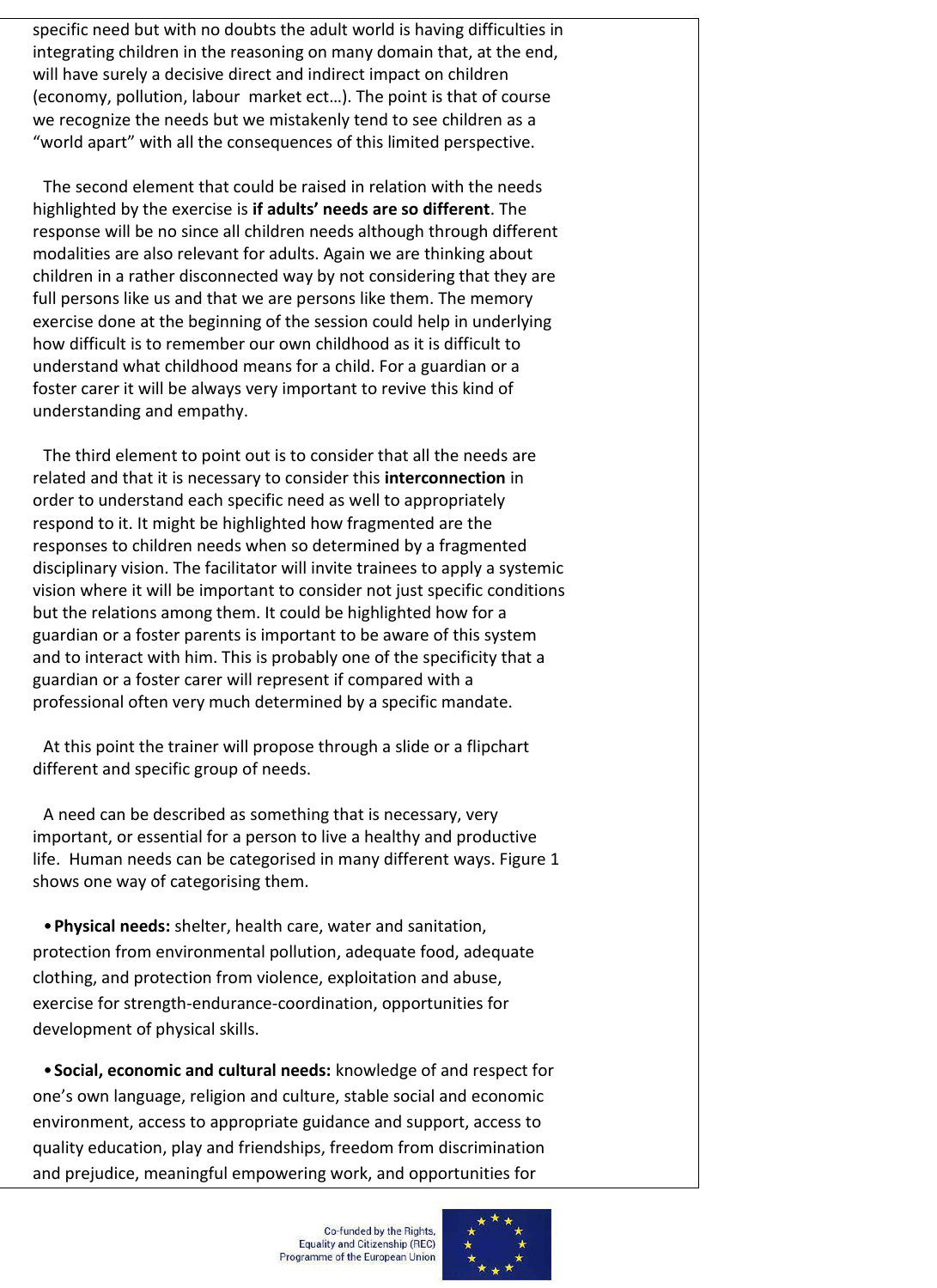specific need but with no doubts the adult world is having difficulties in integrating children in the reasoning on many domain that, at the end, will have surely a decisive direct and indirect impact on children (economy, pollution, labour market ect…). The point is that of course we recognize the needs but we mistakenly tend to see children as a "world apart" with all the consequences of this limited perspective.

The second element that could be raised in relation with the needs highlighted by the exercise is **if adults' needs are so different**. The response will be no since all children needs although through different modalities are also relevant for adults. Again we are thinking about children in a rather disconnected way by not considering that they are full persons like us and that we are persons like them. The memory exercise done at the beginning of the session could help in underlying how difficult is to remember our own childhood as it is difficult to understand what childhood means for a child. For a guardian or a foster carer it will be always very important to revive this kind of understanding and empathy.

The third element to point out is to consider that all the needs are related and that it is necessary to consider this **interconnection** in order to understand each specific need as well to appropriately respond to it. It might be highlighted how fragmented are the responses to children needs when so determined by a fragmented disciplinary vision. The facilitator will invite trainees to apply a systemic vision where it will be important to consider not just specific conditions but the relations among them. It could be highlighted how for a guardian or a foster parents is important to be aware of this system and to interact with him. This is probably one of the specificity that a guardian or a foster carer will represent if compared with a professional often very much determined by a specific mandate.

At this point the trainer will propose through a slide or a flipchart different and specific group of needs.

A need can be described as something that is necessary, very important, or essential for a person to live a healthy and productive life. Human needs can be categorised in many different ways. Figure 1 shows one way of categorising them.

•**Physical needs:** shelter, health care, water and sanitation, protection from environmental pollution, adequate food, adequate clothing, and protection from violence, exploitation and abuse, exercise for strength-endurance-coordination, opportunities for development of physical skills.

•**Social, economic and cultural needs:** knowledge of and respect for one's own language, religion and culture, stable social and economic environment, access to appropriate guidance and support, access to quality education, play and friendships, freedom from discrimination and prejudice, meaningful empowering work, and opportunities for

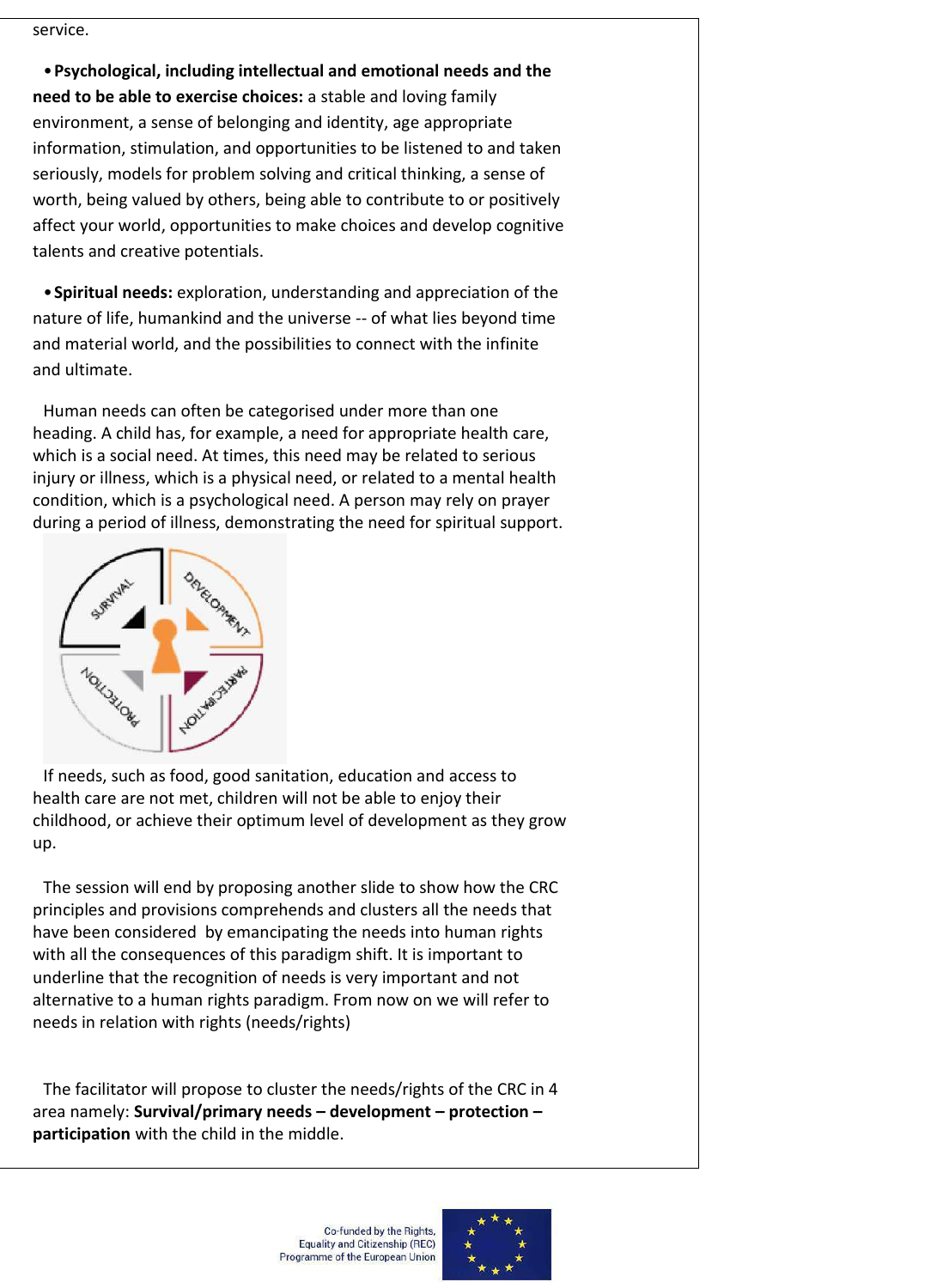service.

•**Psychological, including intellectual and emotional needs and the need to be able to exercise choices:** a stable and loving family environment, a sense of belonging and identity, age appropriate information, stimulation, and opportunities to be listened to and taken seriously, models for problem solving and critical thinking, a sense of worth, being valued by others, being able to contribute to or positively affect your world, opportunities to make choices and develop cognitive talents and creative potentials.

•**Spiritual needs:** exploration, understanding and appreciation of the nature of life, humankind and the universe -- of what lies beyond time and material world, and the possibilities to connect with the infinite and ultimate.

Human needs can often be categorised under more than one heading. A child has, for example, a need for appropriate health care, which is a social need. At times, this need may be related to serious injury or illness, which is a physical need, or related to a mental health condition, which is a psychological need. A person may rely on prayer during a period of illness, demonstrating the need for spiritual support.



If needs, such as food, good sanitation, education and access to health care are not met, children will not be able to enjoy their childhood, or achieve their optimum level of development as they grow up.

The session will end by proposing another slide to show how the CRC principles and provisions comprehends and clusters all the needs that have been considered by emancipating the needs into human rights with all the consequences of this paradigm shift. It is important to underline that the recognition of needs is very important and not alternative to a human rights paradigm. From now on we will refer to needs in relation with rights (needs/rights)

The facilitator will propose to cluster the needs/rights of the CRC in 4 area namely: **Survival/primary needs – development – protection – participation** with the child in the middle.

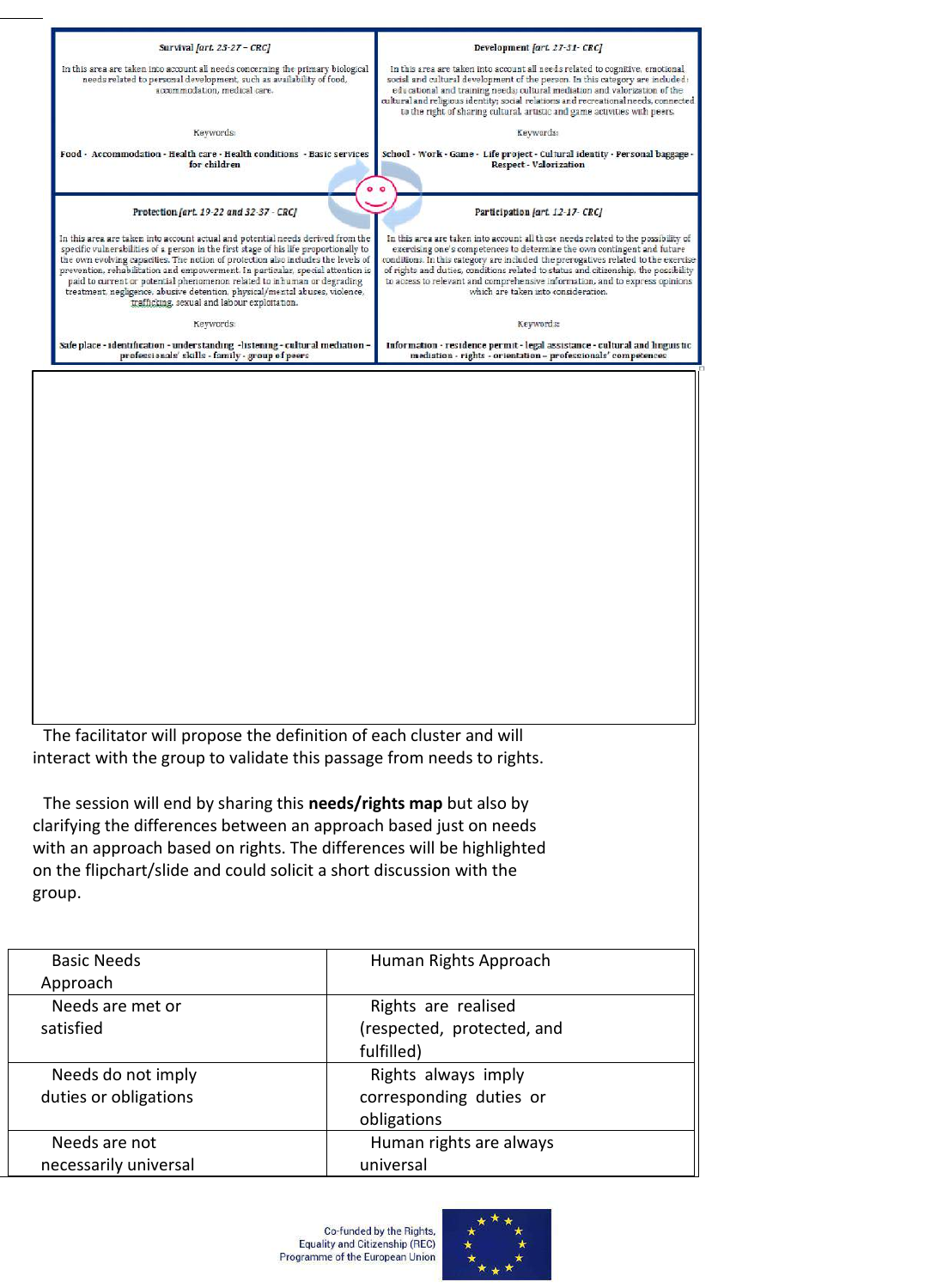| Survival [art. 23-27 - CRC]                                                                                                                                                                                                                                                                                                                                                                                                                                                                                                                                | Development fart. 27-31-CRC]                                                                                                                                                                                                                                                                                                                                                                                                                                     |  |
|------------------------------------------------------------------------------------------------------------------------------------------------------------------------------------------------------------------------------------------------------------------------------------------------------------------------------------------------------------------------------------------------------------------------------------------------------------------------------------------------------------------------------------------------------------|------------------------------------------------------------------------------------------------------------------------------------------------------------------------------------------------------------------------------------------------------------------------------------------------------------------------------------------------------------------------------------------------------------------------------------------------------------------|--|
| In this area are taken into account all needs concerning the primary biological<br>needs related to personal development, such as availability of food,<br>accommodation, medical care.                                                                                                                                                                                                                                                                                                                                                                    | In this area are taken into account all needs related to cognitive, emotional,<br>social and cultural development of the person. In this category are included:<br>educational and training needs; cultural mediation and valorization of the<br>cultural and religious identity; social relations and recreational needs, connected<br>to the right of sharing cultural, artistic and game activities with peers.                                               |  |
| Keywords                                                                                                                                                                                                                                                                                                                                                                                                                                                                                                                                                   | Keywords:                                                                                                                                                                                                                                                                                                                                                                                                                                                        |  |
| Food - Accommodation - Health care - Health conditions - Basic services<br>for children                                                                                                                                                                                                                                                                                                                                                                                                                                                                    | School - Work - Game - Life project - Cultural identity - Personal baggage -<br><b>Respect - Valorization</b><br>$^{\circ}$                                                                                                                                                                                                                                                                                                                                      |  |
| Protection [art. 19-22 and 32-37 - CRC]<br>Participation [art. 12-17-CRC]                                                                                                                                                                                                                                                                                                                                                                                                                                                                                  |                                                                                                                                                                                                                                                                                                                                                                                                                                                                  |  |
| In this area are taken into account actual and potential needs derived from the<br>specific vulnerabilities of a person in the first stage of his life proportionally to<br>the own evolving capacities. The notion of protection also includes the levels of<br>prevention, rehabilitation and empowerment. In particular, special attention is<br>paid to current or potential phenomenon related to inhuman or degrading<br>treatment, negligence, abusive detention, physical/mental abuses, violence,<br>trafficking, sexual and labour exploitation. | In this area are taken into account all those needs related to the possibility of<br>exercising one's competences to determine the own contingent and future<br>conditions. In this category are included the prerogatives related to the exercise<br>of rights and duties, conditions related to status and citizenship, the possibility<br>to access to relevant and comprehensive information, and to express opinions<br>which are taken into consideration. |  |
| Keywords:                                                                                                                                                                                                                                                                                                                                                                                                                                                                                                                                                  | Keywords:                                                                                                                                                                                                                                                                                                                                                                                                                                                        |  |
| Safe place - identification - understanding -listening - cultural mediation -<br>professionals' skills - family - group of peers                                                                                                                                                                                                                                                                                                                                                                                                                           | Information - residence permit - legal assistance - cultural and linguistic<br>mediation - rights - orientation - professionals' competences                                                                                                                                                                                                                                                                                                                     |  |
| The facilitator will propose the definition of each cluster and will<br>interact with the group to validate this passage from needs to rights.<br>The session will end by sharing this needs/rights map but also by<br>clarifying the differences between an approach based just on needs<br>with an approach based on rights. The differences will be highlighted<br>on the flipchart/slide and could solicit a short discussion with the<br>group.                                                                                                       |                                                                                                                                                                                                                                                                                                                                                                                                                                                                  |  |
| <b>Basic Needs</b><br>Approach                                                                                                                                                                                                                                                                                                                                                                                                                                                                                                                             | Human Rights Approach                                                                                                                                                                                                                                                                                                                                                                                                                                            |  |
| Needs are met or                                                                                                                                                                                                                                                                                                                                                                                                                                                                                                                                           | Rights are realised                                                                                                                                                                                                                                                                                                                                                                                                                                              |  |
| satisfied                                                                                                                                                                                                                                                                                                                                                                                                                                                                                                                                                  | (respected, protected, and<br>fulfilled)                                                                                                                                                                                                                                                                                                                                                                                                                         |  |
| Needs do not imply                                                                                                                                                                                                                                                                                                                                                                                                                                                                                                                                         | Rights always imply                                                                                                                                                                                                                                                                                                                                                                                                                                              |  |
| duties or obligations                                                                                                                                                                                                                                                                                                                                                                                                                                                                                                                                      | corresponding duties or<br>obligations                                                                                                                                                                                                                                                                                                                                                                                                                           |  |
| Needs are not                                                                                                                                                                                                                                                                                                                                                                                                                                                                                                                                              | Human rights are always                                                                                                                                                                                                                                                                                                                                                                                                                                          |  |
| necessarily universal                                                                                                                                                                                                                                                                                                                                                                                                                                                                                                                                      | universal                                                                                                                                                                                                                                                                                                                                                                                                                                                        |  |

Co-funded by the Rights,<br>Equality and Citizenship (REC)<br>Programme of the European Union

universal

necessarily universal

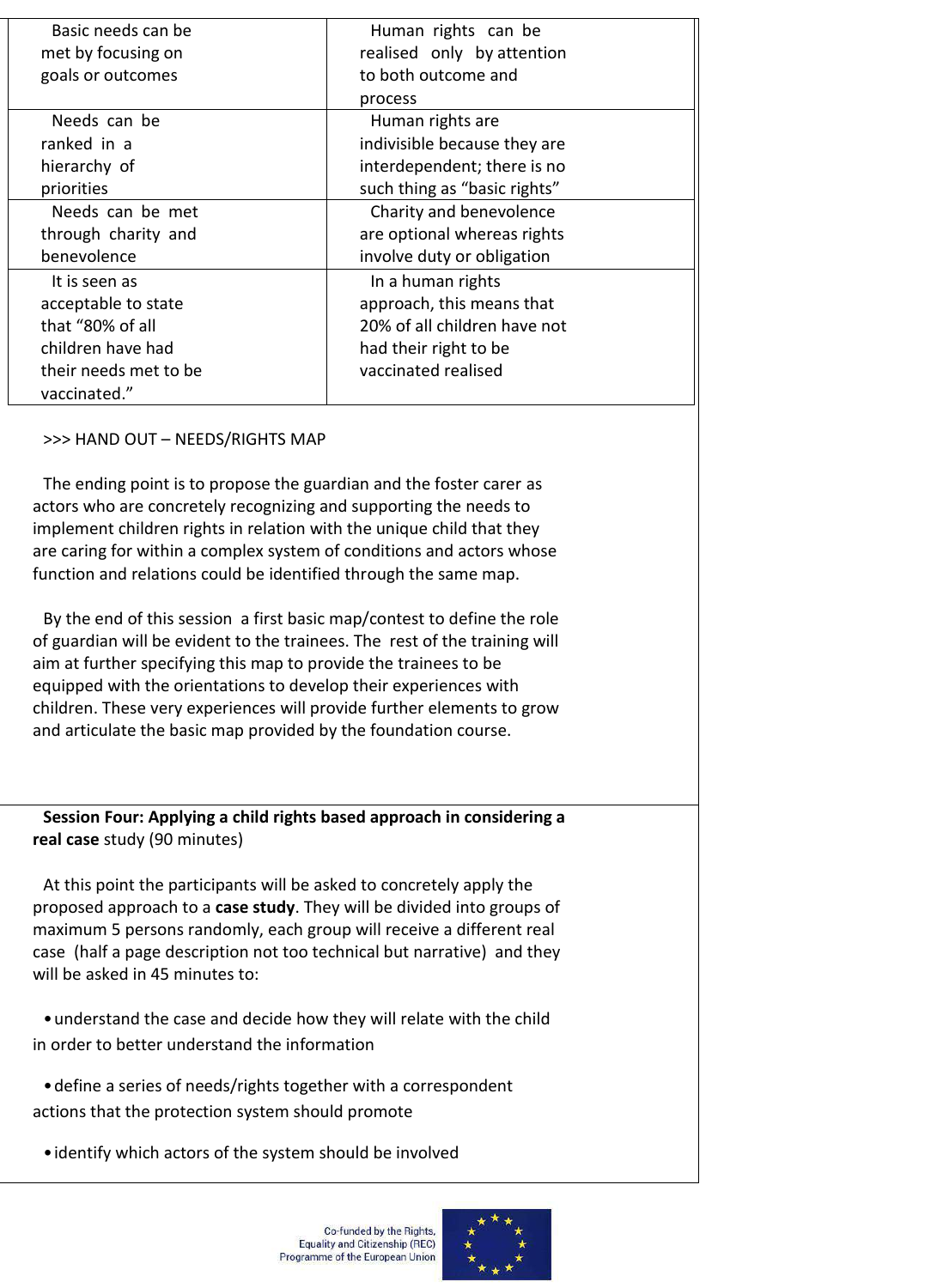| Basic needs can be                                                                                                                                                                                                                                                                                                                                                                                                                                                                                                                                                                                                                                                                                                                                                                                           | Human rights can be          |  |
|--------------------------------------------------------------------------------------------------------------------------------------------------------------------------------------------------------------------------------------------------------------------------------------------------------------------------------------------------------------------------------------------------------------------------------------------------------------------------------------------------------------------------------------------------------------------------------------------------------------------------------------------------------------------------------------------------------------------------------------------------------------------------------------------------------------|------------------------------|--|
| met by focusing on                                                                                                                                                                                                                                                                                                                                                                                                                                                                                                                                                                                                                                                                                                                                                                                           | realised only by attention   |  |
| goals or outcomes                                                                                                                                                                                                                                                                                                                                                                                                                                                                                                                                                                                                                                                                                                                                                                                            | to both outcome and          |  |
|                                                                                                                                                                                                                                                                                                                                                                                                                                                                                                                                                                                                                                                                                                                                                                                                              | process                      |  |
| Needs can be                                                                                                                                                                                                                                                                                                                                                                                                                                                                                                                                                                                                                                                                                                                                                                                                 | Human rights are             |  |
| ranked in a                                                                                                                                                                                                                                                                                                                                                                                                                                                                                                                                                                                                                                                                                                                                                                                                  | indivisible because they are |  |
| hierarchy of                                                                                                                                                                                                                                                                                                                                                                                                                                                                                                                                                                                                                                                                                                                                                                                                 | interdependent; there is no  |  |
| priorities                                                                                                                                                                                                                                                                                                                                                                                                                                                                                                                                                                                                                                                                                                                                                                                                   | such thing as "basic rights" |  |
| Needs can be met                                                                                                                                                                                                                                                                                                                                                                                                                                                                                                                                                                                                                                                                                                                                                                                             | Charity and benevolence      |  |
| through charity and                                                                                                                                                                                                                                                                                                                                                                                                                                                                                                                                                                                                                                                                                                                                                                                          | are optional whereas rights  |  |
| benevolence                                                                                                                                                                                                                                                                                                                                                                                                                                                                                                                                                                                                                                                                                                                                                                                                  | involve duty or obligation   |  |
| It is seen as                                                                                                                                                                                                                                                                                                                                                                                                                                                                                                                                                                                                                                                                                                                                                                                                | In a human rights            |  |
| acceptable to state                                                                                                                                                                                                                                                                                                                                                                                                                                                                                                                                                                                                                                                                                                                                                                                          | approach, this means that    |  |
| that "80% of all                                                                                                                                                                                                                                                                                                                                                                                                                                                                                                                                                                                                                                                                                                                                                                                             | 20% of all children have not |  |
| children have had                                                                                                                                                                                                                                                                                                                                                                                                                                                                                                                                                                                                                                                                                                                                                                                            | had their right to be        |  |
| their needs met to be                                                                                                                                                                                                                                                                                                                                                                                                                                                                                                                                                                                                                                                                                                                                                                                        | vaccinated realised          |  |
| vaccinated."                                                                                                                                                                                                                                                                                                                                                                                                                                                                                                                                                                                                                                                                                                                                                                                                 |                              |  |
| >>> HAND OUT - NEEDS/RIGHTS MAP                                                                                                                                                                                                                                                                                                                                                                                                                                                                                                                                                                                                                                                                                                                                                                              |                              |  |
| The ending point is to propose the guardian and the foster carer as<br>actors who are concretely recognizing and supporting the needs to<br>implement children rights in relation with the unique child that they<br>are caring for within a complex system of conditions and actors whose<br>function and relations could be identified through the same map.<br>By the end of this session a first basic map/contest to define the role<br>of guardian will be evident to the trainees. The rest of the training will<br>aim at further specifying this map to provide the trainees to be<br>equipped with the orientations to develop their experiences with<br>children. These very experiences will provide further elements to grow<br>and articulate the basic map provided by the foundation course. |                              |  |
| Session Four: Applying a child rights based approach in considering a<br>real case study (90 minutes)                                                                                                                                                                                                                                                                                                                                                                                                                                                                                                                                                                                                                                                                                                        |                              |  |
| At this point the participants will be asked to concretely apply the<br>proposed approach to a case study. They will be divided into groups of<br>maximum 5 persons randomly, each group will receive a different real<br>case (half a page description not too technical but narrative) and they<br>will be asked in 45 minutes to:                                                                                                                                                                                                                                                                                                                                                                                                                                                                         |                              |  |
| • understand the case and decide how they will relate with the child<br>in order to better understand the information                                                                                                                                                                                                                                                                                                                                                                                                                                                                                                                                                                                                                                                                                        |                              |  |
| • define a series of needs/rights together with a correspondent<br>actions that the protection system should promote                                                                                                                                                                                                                                                                                                                                                                                                                                                                                                                                                                                                                                                                                         |                              |  |
| • identify which actors of the system should be involved                                                                                                                                                                                                                                                                                                                                                                                                                                                                                                                                                                                                                                                                                                                                                     |                              |  |

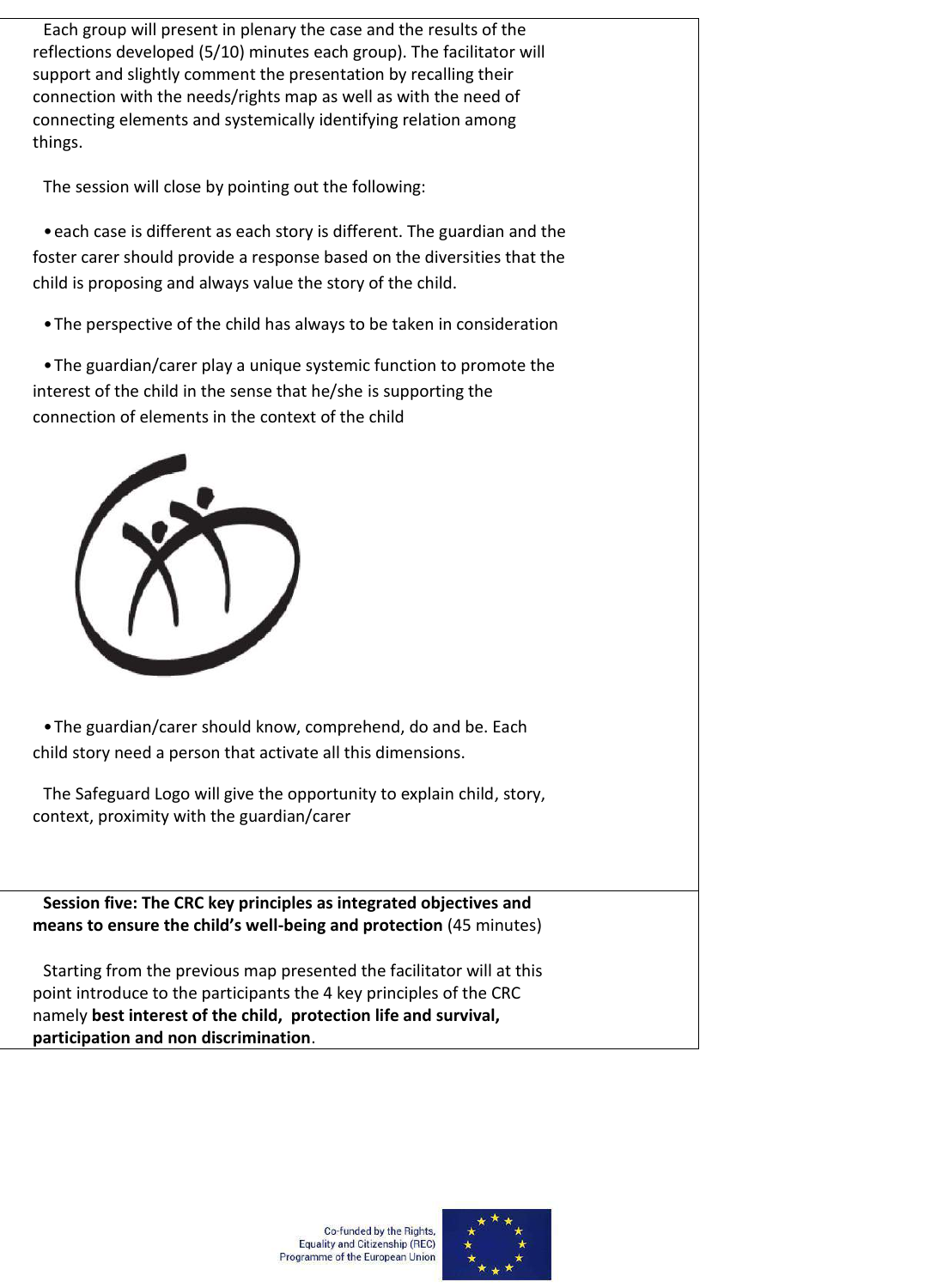Each group will present in plenary the case and the results of the reflections developed (5/10) minutes each group). The facilitator will support and slightly comment the presentation by recalling their connection with the needs/rights map as well as with the need of connecting elements and systemically identifying relation among things.

The session will close by pointing out the following:

•each case is different as each story is different. The guardian and the foster carer should provide a response based on the diversities that the child is proposing and always value the story of the child.

•The perspective of the child has always to be taken in consideration

•The guardian/carer play a unique systemic function to promote the interest of the child in the sense that he/she is supporting the connection of elements in the context of the child



•The guardian/carer should know, comprehend, do and be. Each child story need a person that activate all this dimensions.

The Safeguard Logo will give the opportunity to explain child, story, context, proximity with the guardian/carer

**Session five: The CRC key principles as integrated objectives and means to ensure the child's well-being and protection** (45 minutes)

Starting from the previous map presented the facilitator will at this point introduce to the participants the 4 key principles of the CRC namely **best interest of the child, protection life and survival, participation and non discrimination**.



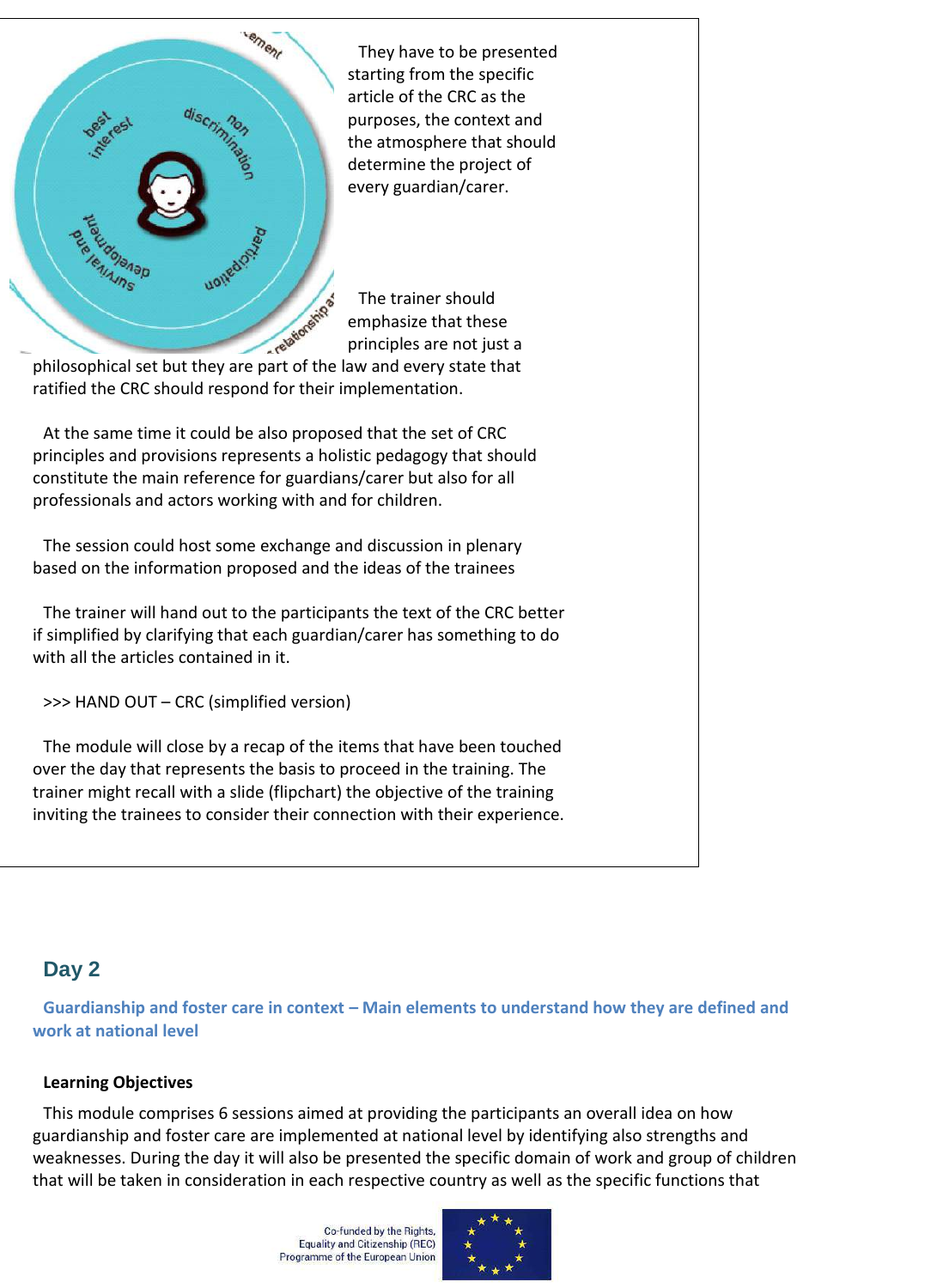

They have to be presented starting from the specific article of the CRC as the purposes, the context and the atmosphere that should determine the project of every guardian/carer.

The trainer should emphasize that these principles are not just a

ratified the CRC should respond for their implementation.

At the same time it could be also proposed that the set of CRC principles and provisions represents a holistic pedagogy that should constitute the main reference for guardians/carer but also for all professionals and actors working with and for children.

The session could host some exchange and discussion in plenary based on the information proposed and the ideas of the trainees

The trainer will hand out to the participants the text of the CRC better if simplified by clarifying that each guardian/carer has something to do with all the articles contained in it.

>>> HAND OUT – CRC (simplified version)

The module will close by a recap of the items that have been touched over the day that represents the basis to proceed in the training. The trainer might recall with a slide (flipchart) the objective of the training inviting the trainees to consider their connection with their experience.

# **Day 2**

**Guardianship and foster care in context – Main elements to understand how they are defined and work at national level**

## **Learning Objectives**

This module comprises 6 sessions aimed at providing the participants an overall idea on how guardianship and foster care are implemented at national level by identifying also strengths and weaknesses. During the day it will also be presented the specific domain of work and group of children that will be taken in consideration in each respective country as well as the specific functions that

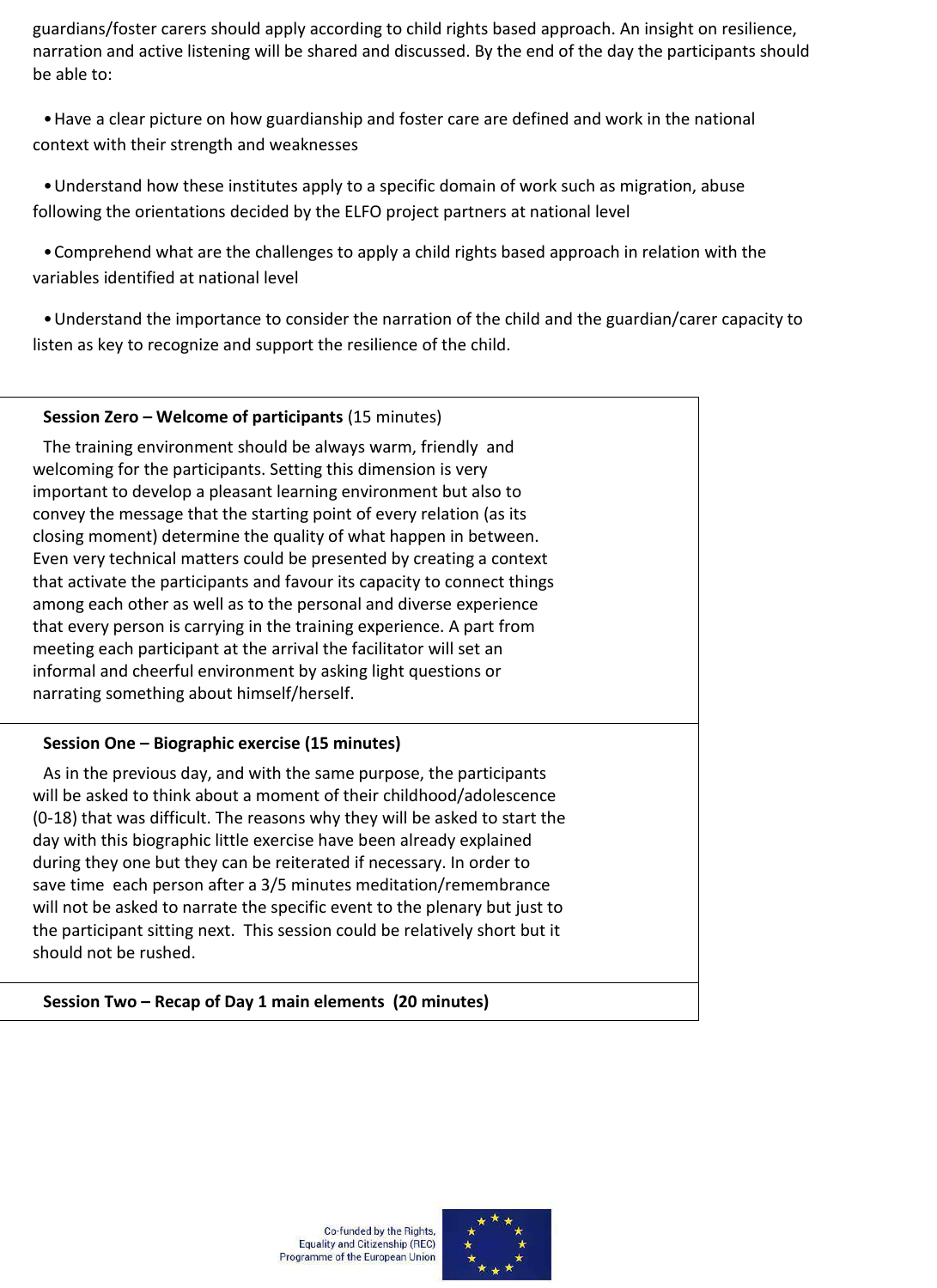guardians/foster carers should apply according to child rights based approach. An insight on resilience, narration and active listening will be shared and discussed. By the end of the day the participants should be able to:

•Have a clear picture on how guardianship and foster care are defined and work in the national context with their strength and weaknesses

•Understand how these institutes apply to a specific domain of work such as migration, abuse following the orientations decided by the ELFO project partners at national level

•Comprehend what are the challenges to apply a child rights based approach in relation with the variables identified at national level

•Understand the importance to consider the narration of the child and the guardian/carer capacity to listen as key to recognize and support the resilience of the child.

#### **Session Zero – Welcome of participants** (15 minutes)

The training environment should be always warm, friendly and welcoming for the participants. Setting this dimension is very important to develop a pleasant learning environment but also to convey the message that the starting point of every relation (as its closing moment) determine the quality of what happen in between. Even very technical matters could be presented by creating a context that activate the participants and favour its capacity to connect things among each other as well as to the personal and diverse experience that every person is carrying in the training experience. A part from meeting each participant at the arrival the facilitator will set an informal and cheerful environment by asking light questions or narrating something about himself/herself.

#### **Session One – Biographic exercise (15 minutes)**

As in the previous day, and with the same purpose, the participants will be asked to think about a moment of their childhood/adolescence (0-18) that was difficult. The reasons why they will be asked to start the day with this biographic little exercise have been already explained during they one but they can be reiterated if necessary. In order to save time each person after a 3/5 minutes meditation/remembrance will not be asked to narrate the specific event to the plenary but just to the participant sitting next. This session could be relatively short but it should not be rushed.

#### **Session Two – Recap of Day 1 main elements (20 minutes)**

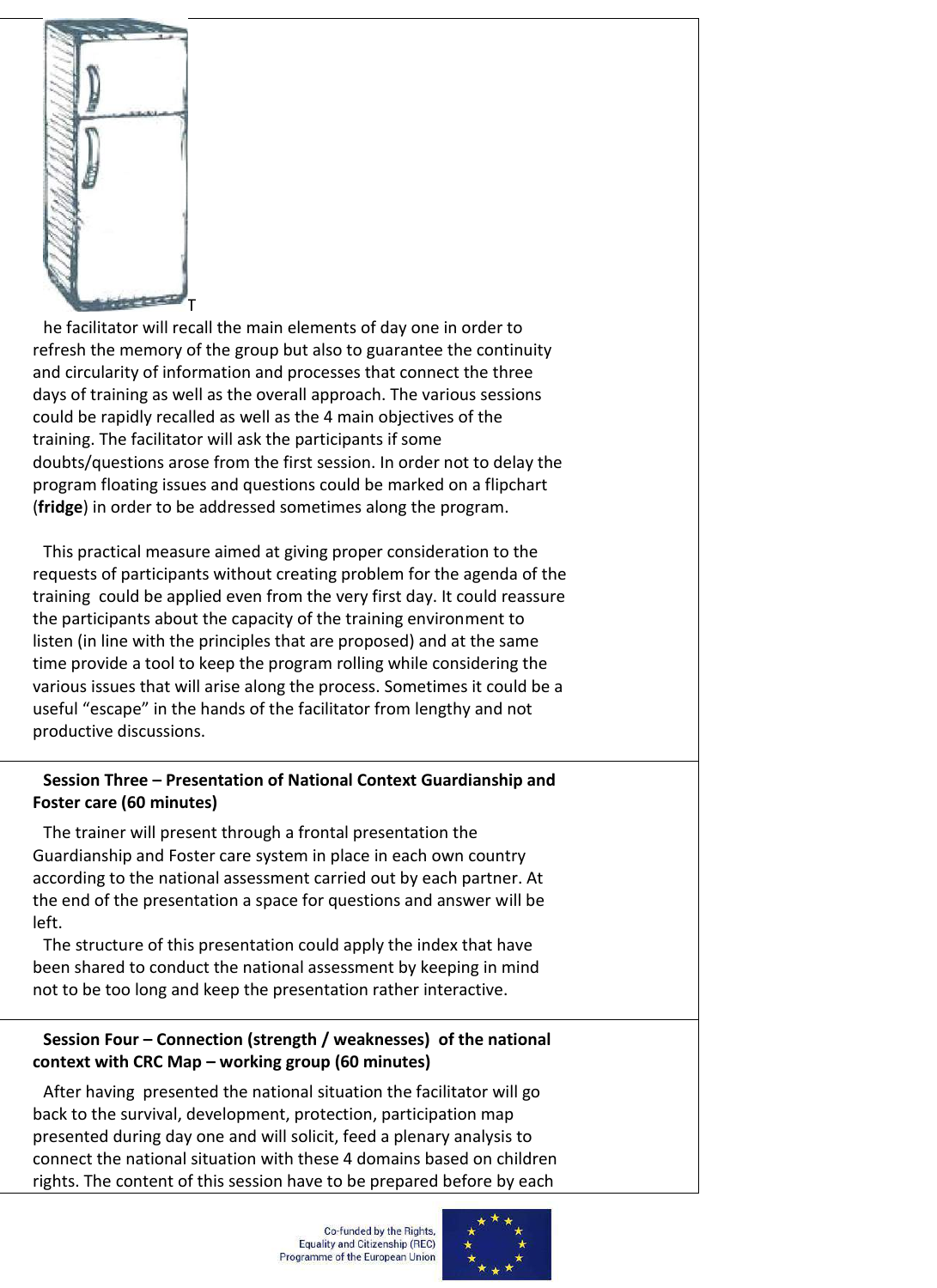

he facilitator will recall the main elements of day one in order to refresh the memory of the group but also to guarantee the continuity and circularity of information and processes that connect the three days of training as well as the overall approach. The various sessions could be rapidly recalled as well as the 4 main objectives of the training. The facilitator will ask the participants if some doubts/questions arose from the first session. In order not to delay the program floating issues and questions could be marked on a flipchart (**fridge**) in order to be addressed sometimes along the program.

This practical measure aimed at giving proper consideration to the requests of participants without creating problem for the agenda of the training could be applied even from the very first day. It could reassure the participants about the capacity of the training environment to listen (in line with the principles that are proposed) and at the same time provide a tool to keep the program rolling while considering the various issues that will arise along the process. Sometimes it could be a useful "escape" in the hands of the facilitator from lengthy and not productive discussions.

#### **Session Three – Presentation of National Context Guardianship and Foster care (60 minutes)**

The trainer will present through a frontal presentation the Guardianship and Foster care system in place in each own country according to the national assessment carried out by each partner. At the end of the presentation a space for questions and answer will be left.

The structure of this presentation could apply the index that have been shared to conduct the national assessment by keeping in mind not to be too long and keep the presentation rather interactive.

## **Session Four – Connection (strength / weaknesses) of the national context with CRC Map – working group (60 minutes)**

After having presented the national situation the facilitator will go back to the survival, development, protection, participation map presented during day one and will solicit, feed a plenary analysis to connect the national situation with these 4 domains based on children rights. The content of this session have to be prepared before by each

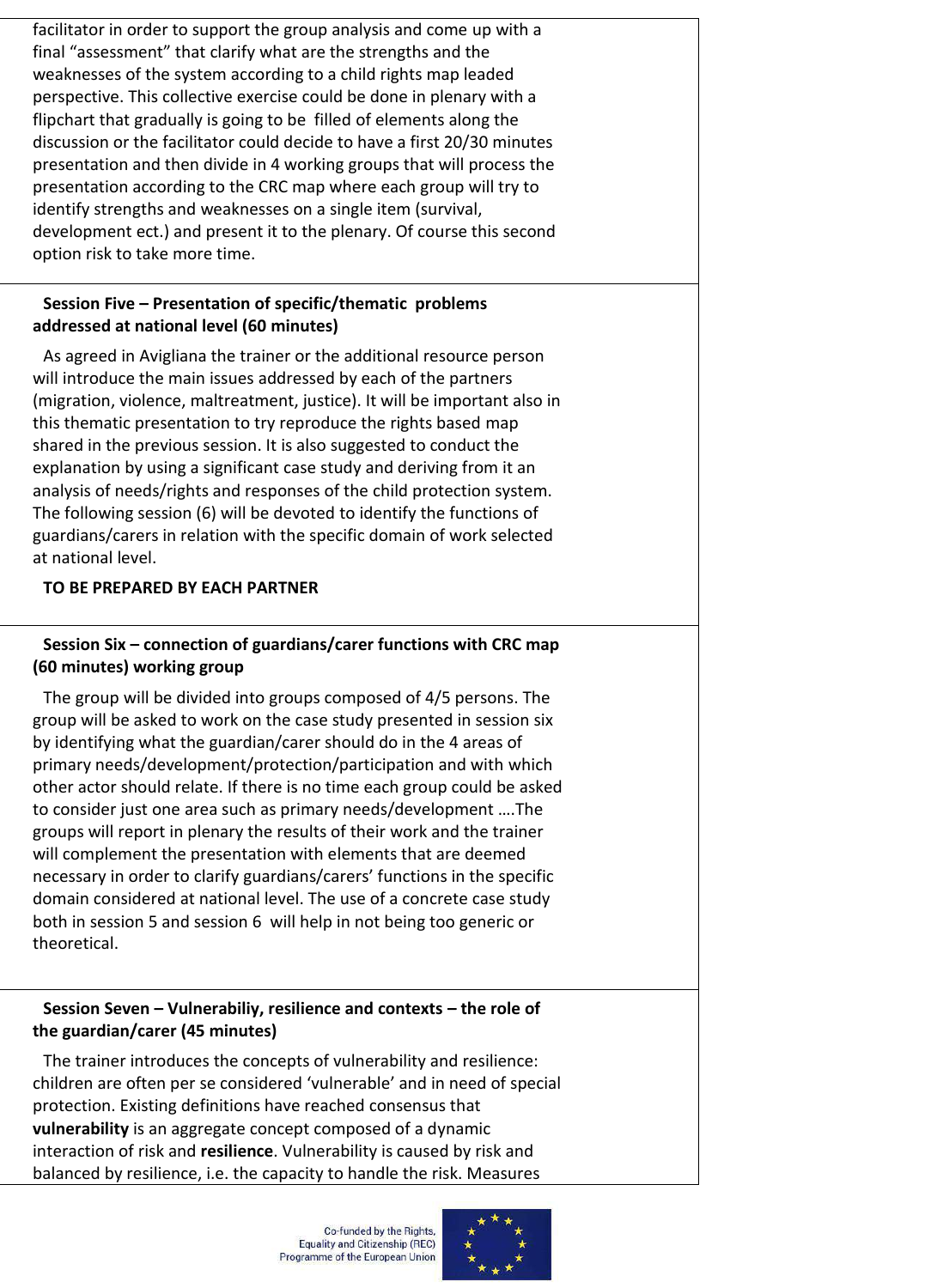facilitator in order to support the group analysis and come up with a final "assessment" that clarify what are the strengths and the weaknesses of the system according to a child rights map leaded perspective. This collective exercise could be done in plenary with a flipchart that gradually is going to be filled of elements along the discussion or the facilitator could decide to have a first 20/30 minutes presentation and then divide in 4 working groups that will process the presentation according to the CRC map where each group will try to identify strengths and weaknesses on a single item (survival, development ect.) and present it to the plenary. Of course this second option risk to take more time.

#### **Session Five – Presentation of specific/thematic problems addressed at national level (60 minutes)**

As agreed in Avigliana the trainer or the additional resource person will introduce the main issues addressed by each of the partners (migration, violence, maltreatment, justice). It will be important also in this thematic presentation to try reproduce the rights based map shared in the previous session. It is also suggested to conduct the explanation by using a significant case study and deriving from it an analysis of needs/rights and responses of the child protection system. The following session (6) will be devoted to identify the functions of guardians/carers in relation with the specific domain of work selected at national level.

#### **TO BE PREPARED BY EACH PARTNER**

## **Session Six – connection of guardians/carer functions with CRC map (60 minutes) working group**

The group will be divided into groups composed of 4/5 persons. The group will be asked to work on the case study presented in session six by identifying what the guardian/carer should do in the 4 areas of primary needs/development/protection/participation and with which other actor should relate. If there is no time each group could be asked to consider just one area such as primary needs/development ….The groups will report in plenary the results of their work and the trainer will complement the presentation with elements that are deemed necessary in order to clarify guardians/carers' functions in the specific domain considered at national level. The use of a concrete case study both in session 5 and session 6 will help in not being too generic or theoretical.

#### **Session Seven – Vulnerabiliy, resilience and contexts – the role of the guardian/carer (45 minutes)**

The trainer introduces the concepts of vulnerability and resilience: children are often per se considered 'vulnerable' and in need of special protection. Existing definitions have reached consensus that **vulnerability** is an aggregate concept composed of a dynamic interaction of risk and **resilience**. Vulnerability is caused by risk and balanced by resilience, i.e. the capacity to handle the risk. Measures

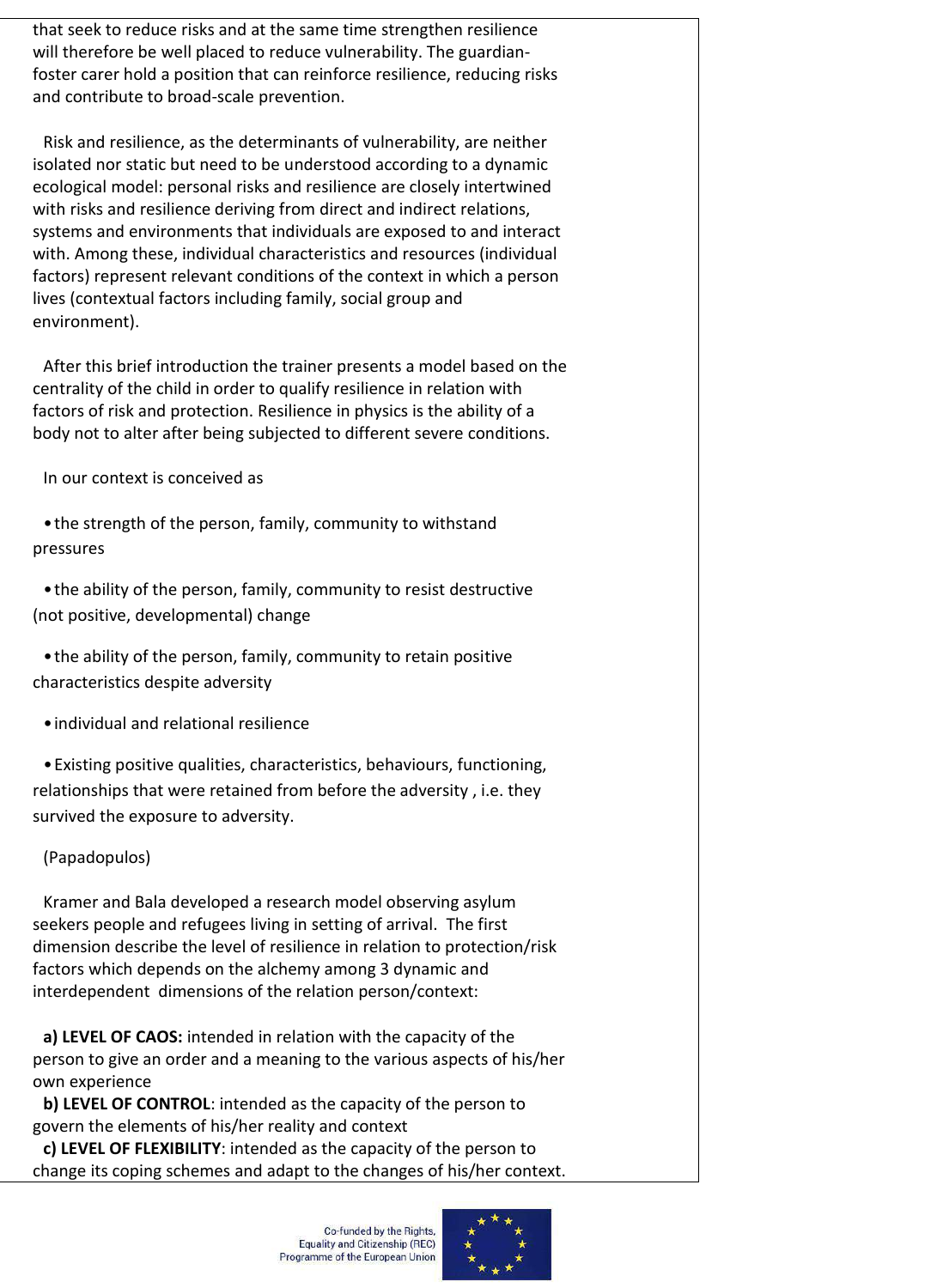that seek to reduce risks and at the same time strengthen resilience will therefore be well placed to reduce vulnerability. The guardianfoster carer hold a position that can reinforce resilience, reducing risks and contribute to broad-scale prevention.

Risk and resilience, as the determinants of vulnerability, are neither isolated nor static but need to be understood according to a dynamic ecological model: personal risks and resilience are closely intertwined with risks and resilience deriving from direct and indirect relations, systems and environments that individuals are exposed to and interact with. Among these, individual characteristics and resources (individual factors) represent relevant conditions of the context in which a person lives (contextual factors including family, social group and environment).

After this brief introduction the trainer presents a model based on the centrality of the child in order to qualify resilience in relation with factors of risk and protection. Resilience in physics is the ability of a body not to alter after being subjected to different severe conditions.

In our context is conceived as

•the strength of the person, family, community to withstand pressures

•the ability of the person, family, community to resist destructive (not positive, developmental) change

•the ability of the person, family, community to retain positive characteristics despite adversity

•individual and relational resilience

•Existing positive qualities, characteristics, behaviours, functioning, relationships that were retained from before the adversity , i.e. they survived the exposure to adversity.

(Papadopulos)

Kramer and Bala developed a research model observing asylum seekers people and refugees living in setting of arrival. The first dimension describe the level of resilience in relation to protection/risk factors which depends on the alchemy among 3 dynamic and interdependent dimensions of the relation person/context:

**a) LEVEL OF CAOS:** intended in relation with the capacity of the person to give an order and a meaning to the various aspects of his/her own experience

**b) LEVEL OF CONTROL**: intended as the capacity of the person to govern the elements of his/her reality and context

**c) LEVEL OF FLEXIBILITY**: intended as the capacity of the person to change its coping schemes and adapt to the changes of his/her context.

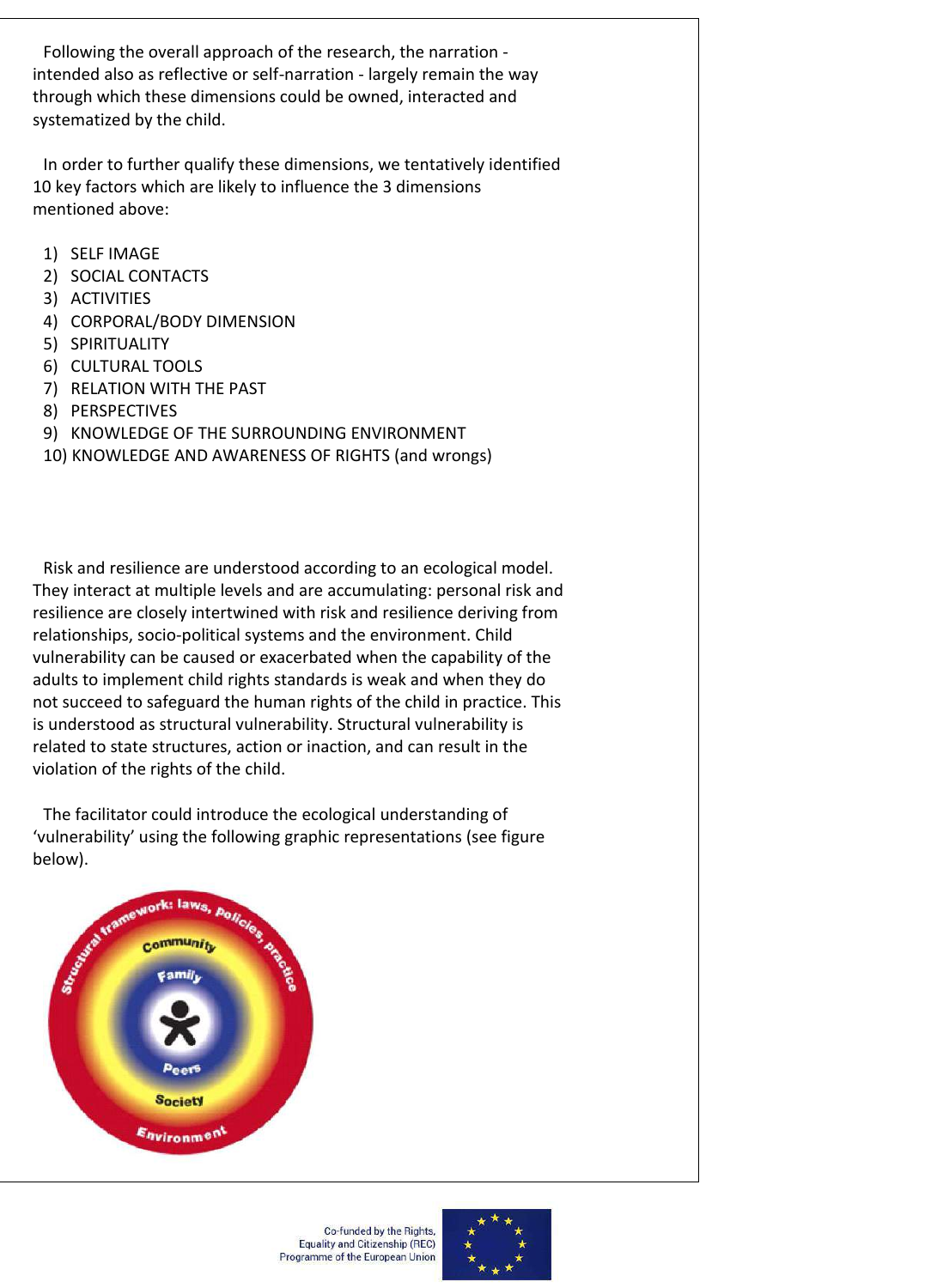Following the overall approach of the research, the narration intended also as reflective or self-narration - largely remain the way through which these dimensions could be owned, interacted and systematized by the child.

In order to further qualify these dimensions, we tentatively identified 10 key factors which are likely to influence the 3 dimensions mentioned above:

- 1) SELF IMAGE
- 2) SOCIAL CONTACTS
- 3) ACTIVITIES
- 4) CORPORAL/BODY DIMENSION
- 5) SPIRITUALITY
- 6) CULTURAL TOOLS
- 7) RELATION WITH THE PAST
- 8) PERSPECTIVES
- 9) KNOWLEDGE OF THE SURROUNDING ENVIRONMENT
- 10) KNOWLEDGE AND AWARENESS OF RIGHTS (and wrongs)

Risk and resilience are understood according to an ecological model. They interact at multiple levels and are accumulating: personal risk and resilience are closely intertwined with risk and resilience deriving from relationships, socio-political systems and the environment. Child vulnerability can be caused or exacerbated when the capability of the adults to implement child rights standards is weak and when they do not succeed to safeguard the human rights of the child in practice. This is understood as structural vulnerability. Structural vulnerability is related to state structures, action or inaction, and can result in the violation of the rights of the child.

The facilitator could introduce the ecological understanding of 'vulnerability' using the following graphic representations (see figure below).



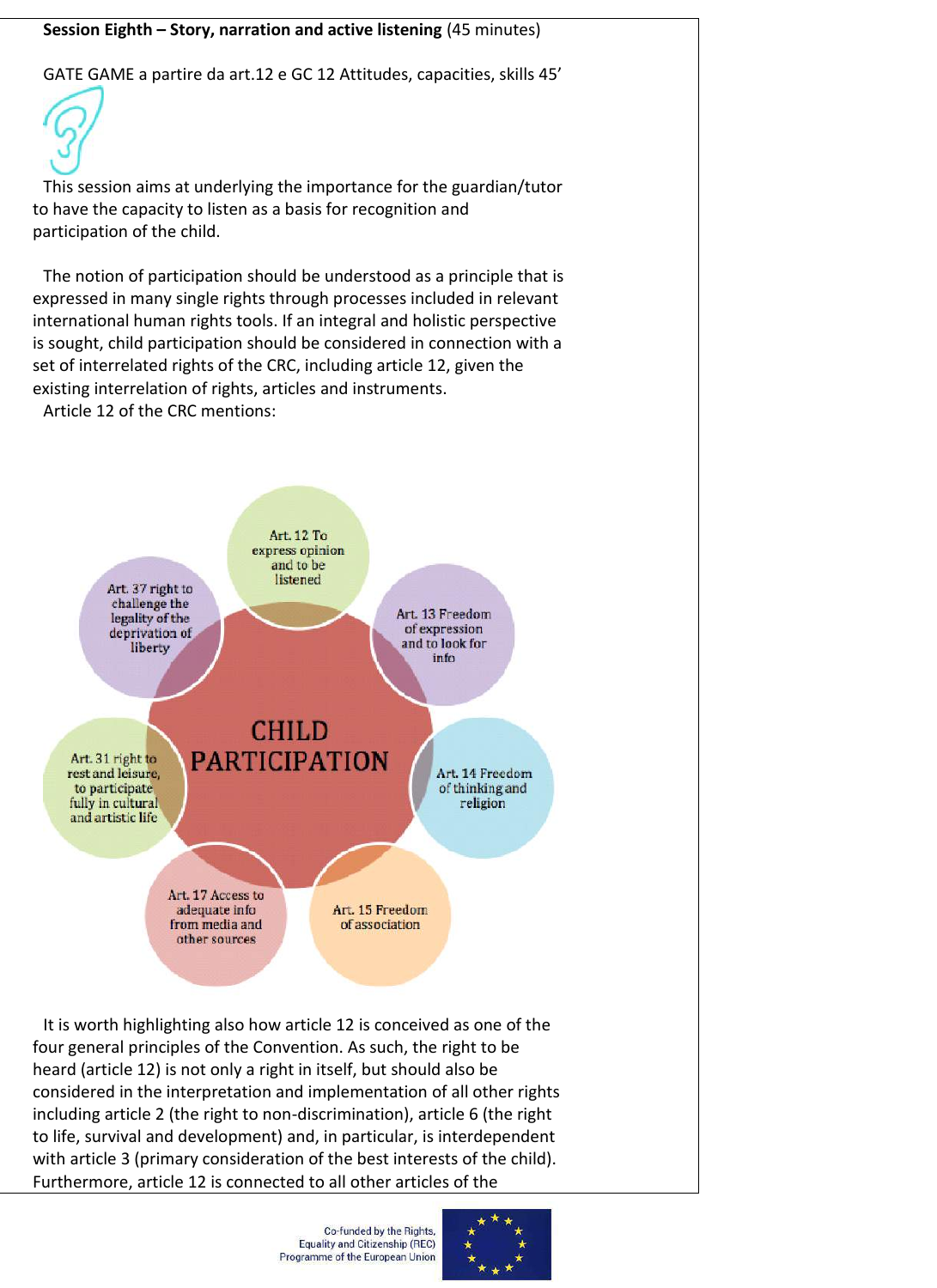## **Session Eighth – Story, narration and active listening** (45 minutes)

GATE GAME a partire da art.12 e GC 12 Attitudes, capacities, skills 45'



This session aims at underlying the importance for the guardian/tutor to have the capacity to listen as a basis for recognition and participation of the child.

The notion of participation should be understood as a principle that is expressed in many single rights through processes included in relevant international human rights tools. If an integral and holistic perspective is sought, child participation should be considered in connection with a set of interrelated rights of the CRC, including article 12, given the existing interrelation of rights, articles and instruments.

Article 12 of the CRC mentions:



four general principles of the Convention. As such, the right to be heard (article 12) is not only a right in itself, but should also be considered in the interpretation and implementation of all other rights including article 2 (the right to non-discrimination), article 6 (the right to life, survival and development) and, in particular, is interdependent with article 3 (primary consideration of the best interests of the child). Furthermore, article 12 is connected to all other articles of the

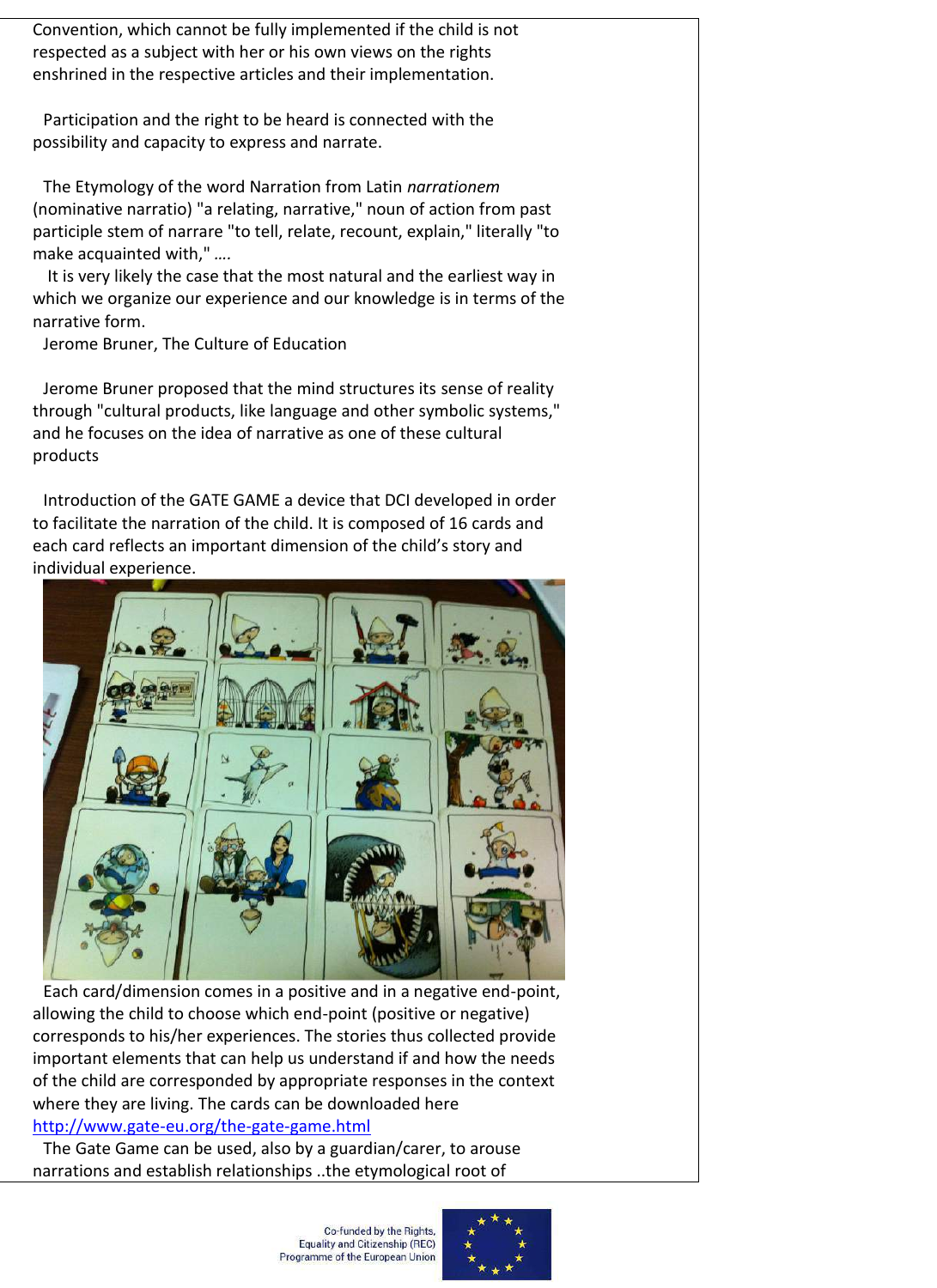Convention, which cannot be fully implemented if the child is not respected as a subject with her or his own views on the rights enshrined in the respective articles and their implementation.

Participation and the right to be heard is connected with the possibility and capacity to express and narrate.

The Etymology of the word Narration from Latin *narrationem* (nominative narratio) "a relating, narrative," noun of action from past participle stem of narrare "to tell, relate, recount, explain," literally "to make acquainted with," *….*

It is very likely the case that the most natural and the earliest way in which we organize our experience and our knowledge is in terms of the narrative form.

Jerome Bruner, The Culture of Education

Jerome Bruner proposed that the mind structures its sense of reality through "cultural products, like language and other symbolic systems," and he focuses on the idea of narrative as one of these cultural products

Introduction of the GATE GAME a device that DCI developed in order to facilitate the narration of the child. It is composed of 16 cards and each card reflects an important dimension of the child's story and individual experience.



Each card/dimension comes in a positive and in a negative end-point, allowing the child to choose which end-point (positive or negative) corresponds to his/her experiences. The stories thus collected provide important elements that can help us understand if and how the needs of the child are corresponded by appropriate responses in the context where they are living. The cards can be downloaded here http://www.gate-eu.org/the-gate-game.html

The Gate Game can be used, also by a guardian/carer, to arouse narrations and establish relationships ..the etymological root of

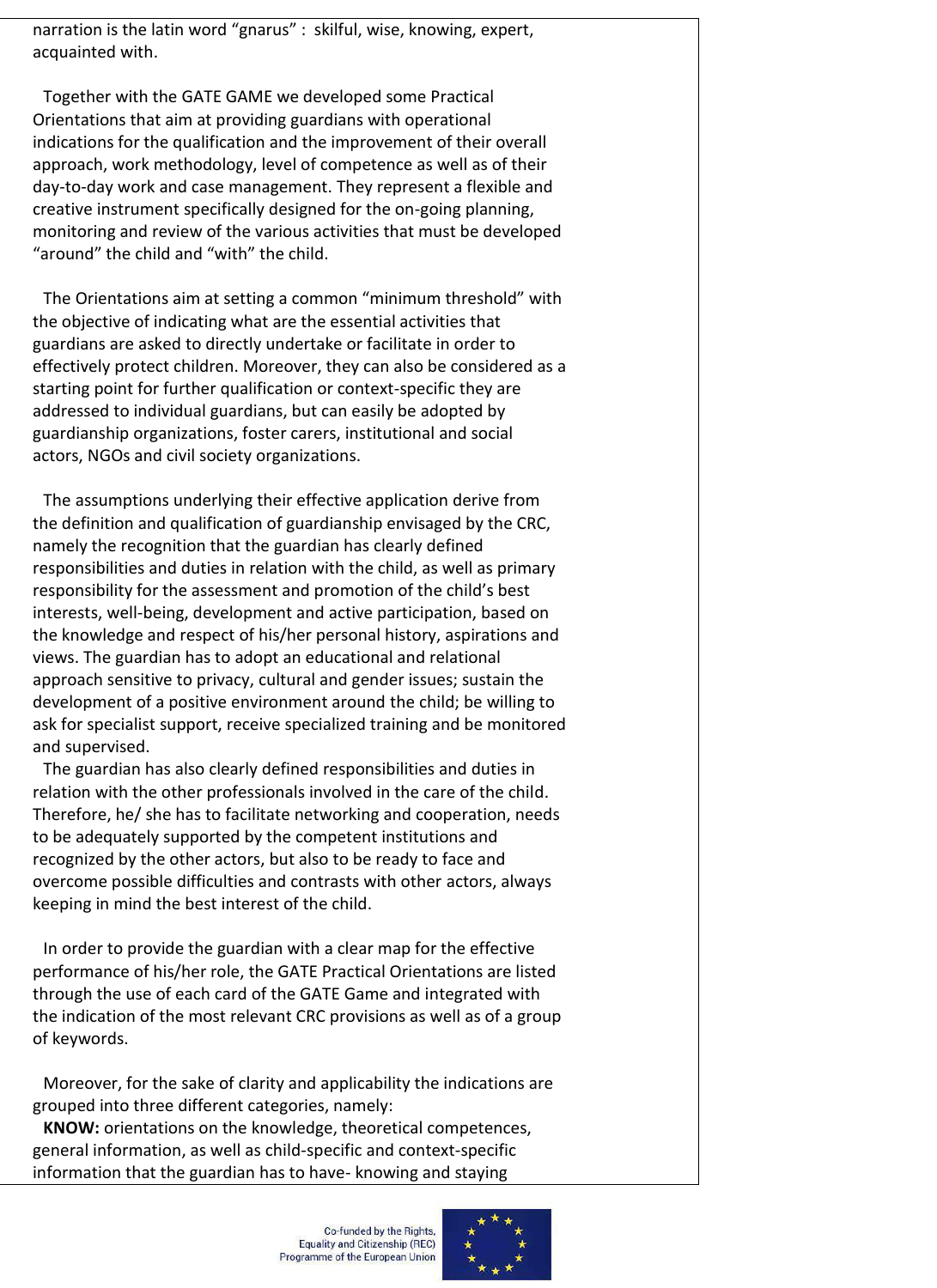narration is the latin word "gnarus" : skilful, wise, knowing, expert, acquainted with.

Together with the GATE GAME we developed some Practical Orientations that aim at providing guardians with operational indications for the qualification and the improvement of their overall approach, work methodology, level of competence as well as of their day-to-day work and case management. They represent a flexible and creative instrument specifically designed for the on-going planning, monitoring and review of the various activities that must be developed "around" the child and "with" the child.

The Orientations aim at setting a common "minimum threshold" with the objective of indicating what are the essential activities that guardians are asked to directly undertake or facilitate in order to effectively protect children. Moreover, they can also be considered as a starting point for further qualification or context-specific they are addressed to individual guardians, but can easily be adopted by guardianship organizations, foster carers, institutional and social actors, NGOs and civil society organizations.

The assumptions underlying their effective application derive from the definition and qualification of guardianship envisaged by the CRC, namely the recognition that the guardian has clearly defined responsibilities and duties in relation with the child, as well as primary responsibility for the assessment and promotion of the child's best interests, well-being, development and active participation, based on the knowledge and respect of his/her personal history, aspirations and views. The guardian has to adopt an educational and relational approach sensitive to privacy, cultural and gender issues; sustain the development of a positive environment around the child; be willing to ask for specialist support, receive specialized training and be monitored and supervised.

The guardian has also clearly defined responsibilities and duties in relation with the other professionals involved in the care of the child. Therefore, he/ she has to facilitate networking and cooperation, needs to be adequately supported by the competent institutions and recognized by the other actors, but also to be ready to face and overcome possible difficulties and contrasts with other actors, always keeping in mind the best interest of the child.

In order to provide the guardian with a clear map for the effective performance of his/her role, the GATE Practical Orientations are listed through the use of each card of the GATE Game and integrated with the indication of the most relevant CRC provisions as well as of a group of keywords.

Moreover, for the sake of clarity and applicability the indications are grouped into three different categories, namely:

**KNOW:** orientations on the knowledge, theoretical competences, general information, as well as child-specific and context-specific information that the guardian has to have- knowing and staying

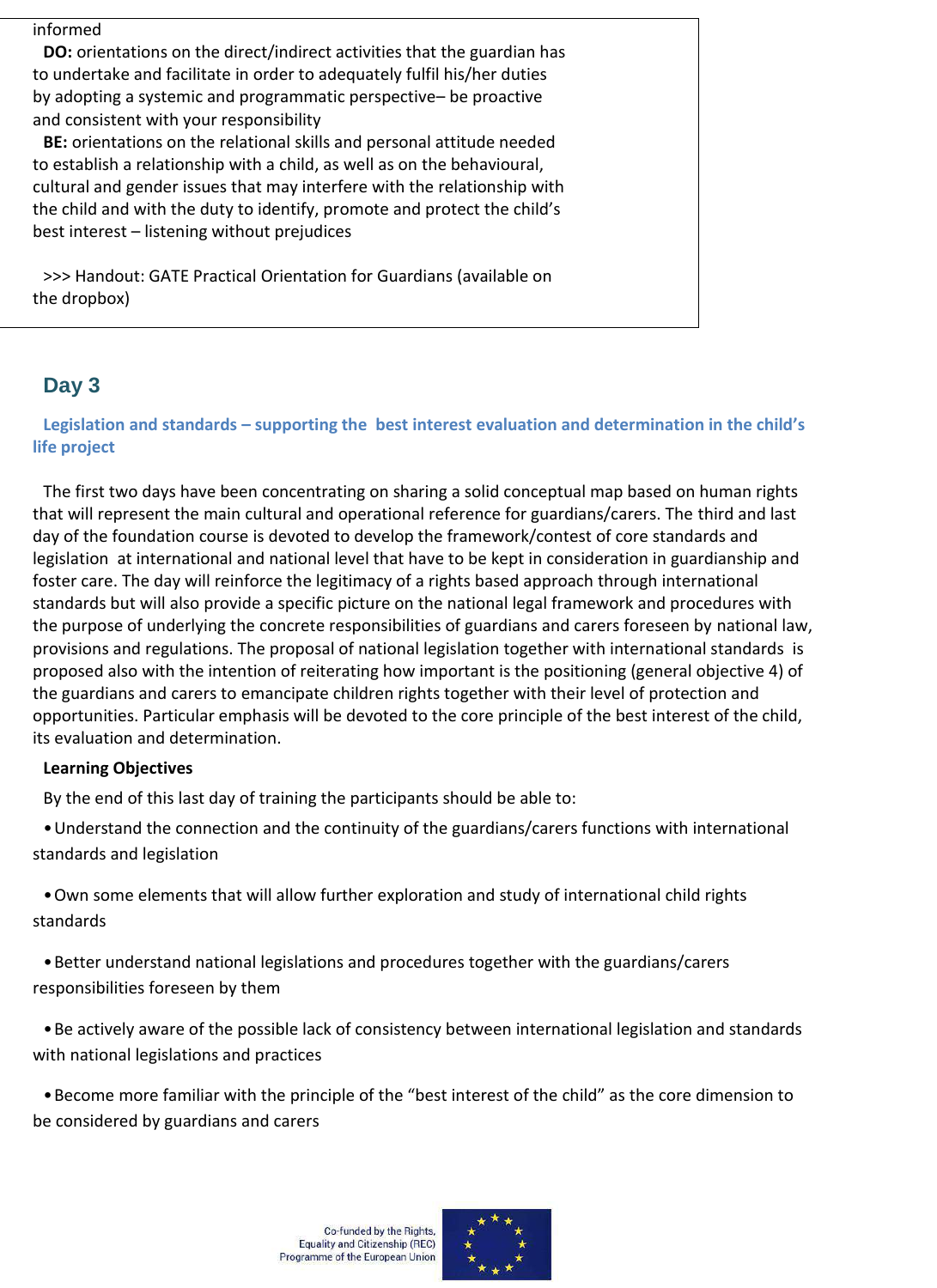informed

**DO:** orientations on the direct/indirect activities that the guardian has to undertake and facilitate in order to adequately fulfil his/her duties by adopting a systemic and programmatic perspective– be proactive and consistent with your responsibility

**BE:** orientations on the relational skills and personal attitude needed to establish a relationship with a child, as well as on the behavioural, cultural and gender issues that may interfere with the relationship with the child and with the duty to identify, promote and protect the child's best interest – listening without prejudices

>>> Handout: GATE Practical Orientation for Guardians (available on the dropbox)

# **Day 3**

## **Legislation and standards – supporting the best interest evaluation and determination in the child's life project**

The first two days have been concentrating on sharing a solid conceptual map based on human rights that will represent the main cultural and operational reference for guardians/carers. The third and last day of the foundation course is devoted to develop the framework/contest of core standards and legislation at international and national level that have to be kept in consideration in guardianship and foster care. The day will reinforce the legitimacy of a rights based approach through international standards but will also provide a specific picture on the national legal framework and procedures with the purpose of underlying the concrete responsibilities of guardians and carers foreseen by national law, provisions and regulations. The proposal of national legislation together with international standards is proposed also with the intention of reiterating how important is the positioning (general objective 4) of the guardians and carers to emancipate children rights together with their level of protection and opportunities. Particular emphasis will be devoted to the core principle of the best interest of the child, its evaluation and determination.

## **Learning Objectives**

By the end of this last day of training the participants should be able to:

•Understand the connection and the continuity of the guardians/carers functions with international standards and legislation

•Own some elements that will allow further exploration and study of international child rights standards

•Better understand national legislations and procedures together with the guardians/carers responsibilities foreseen by them

•Be actively aware of the possible lack of consistency between international legislation and standards with national legislations and practices

•Become more familiar with the principle of the "best interest of the child" as the core dimension to be considered by guardians and carers

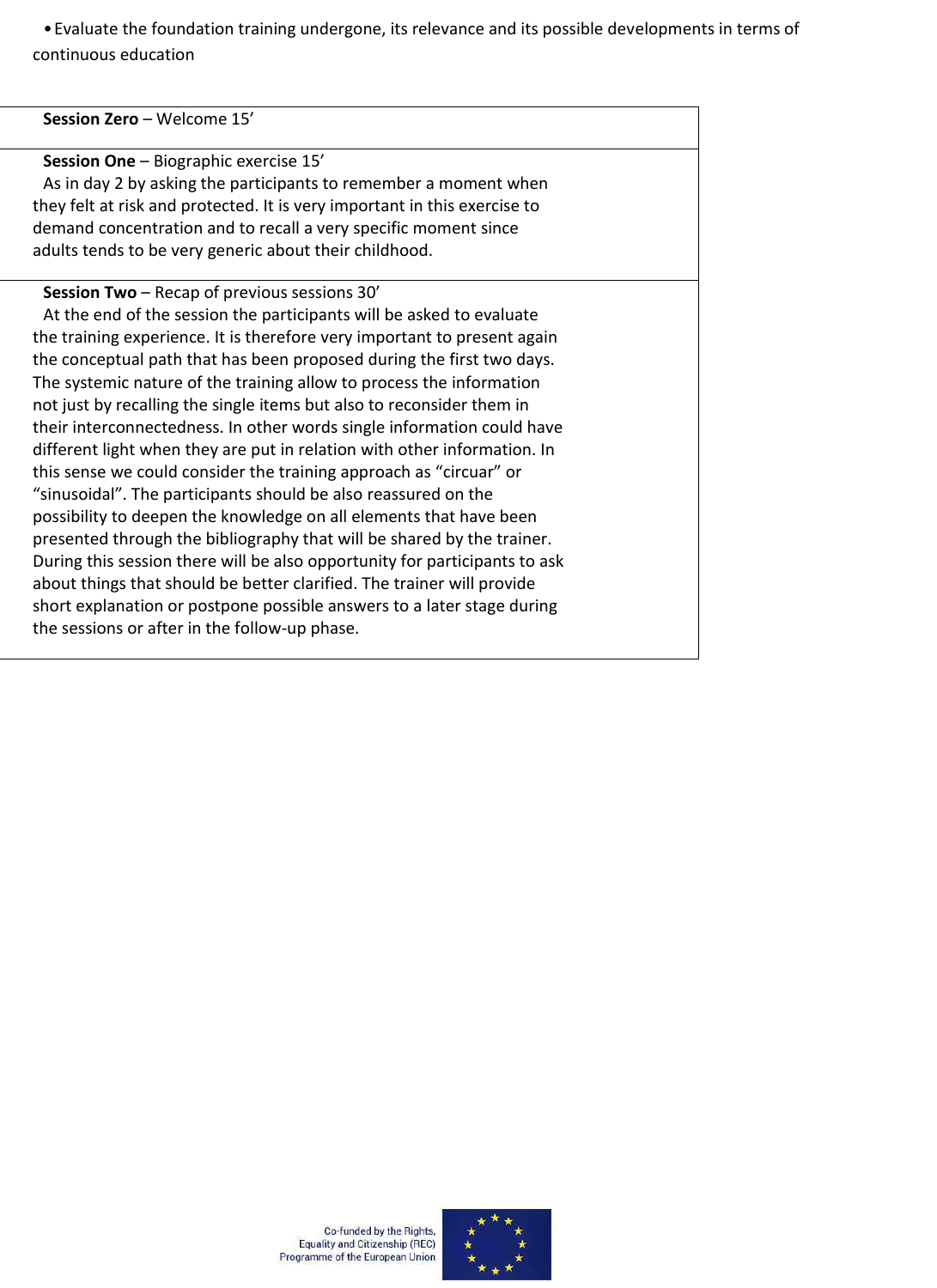•Evaluate the foundation training undergone, its relevance and its possible developments in terms of continuous education

#### **Session One** – Biographic exercise 15'

As in day 2 by asking the participants to remember a moment when they felt at risk and protected. It is very important in this exercise to demand concentration and to recall a very specific moment since adults tends to be very generic about their childhood.

#### **Session Two** – Recap of previous sessions 30'

At the end of the session the participants will be asked to evaluate the training experience. It is therefore very important to present again the conceptual path that has been proposed during the first two days. The systemic nature of the training allow to process the information not just by recalling the single items but also to reconsider them in their interconnectedness. In other words single information could have different light when they are put in relation with other information. In this sense we could consider the training approach as "circuar" or "sinusoidal". The participants should be also reassured on the possibility to deepen the knowledge on all elements that have been presented through the bibliography that will be shared by the trainer. During this session there will be also opportunity for participants to ask about things that should be better clarified. The trainer will provide short explanation or postpone possible answers to a later stage during the sessions or after in the follow-up phase.

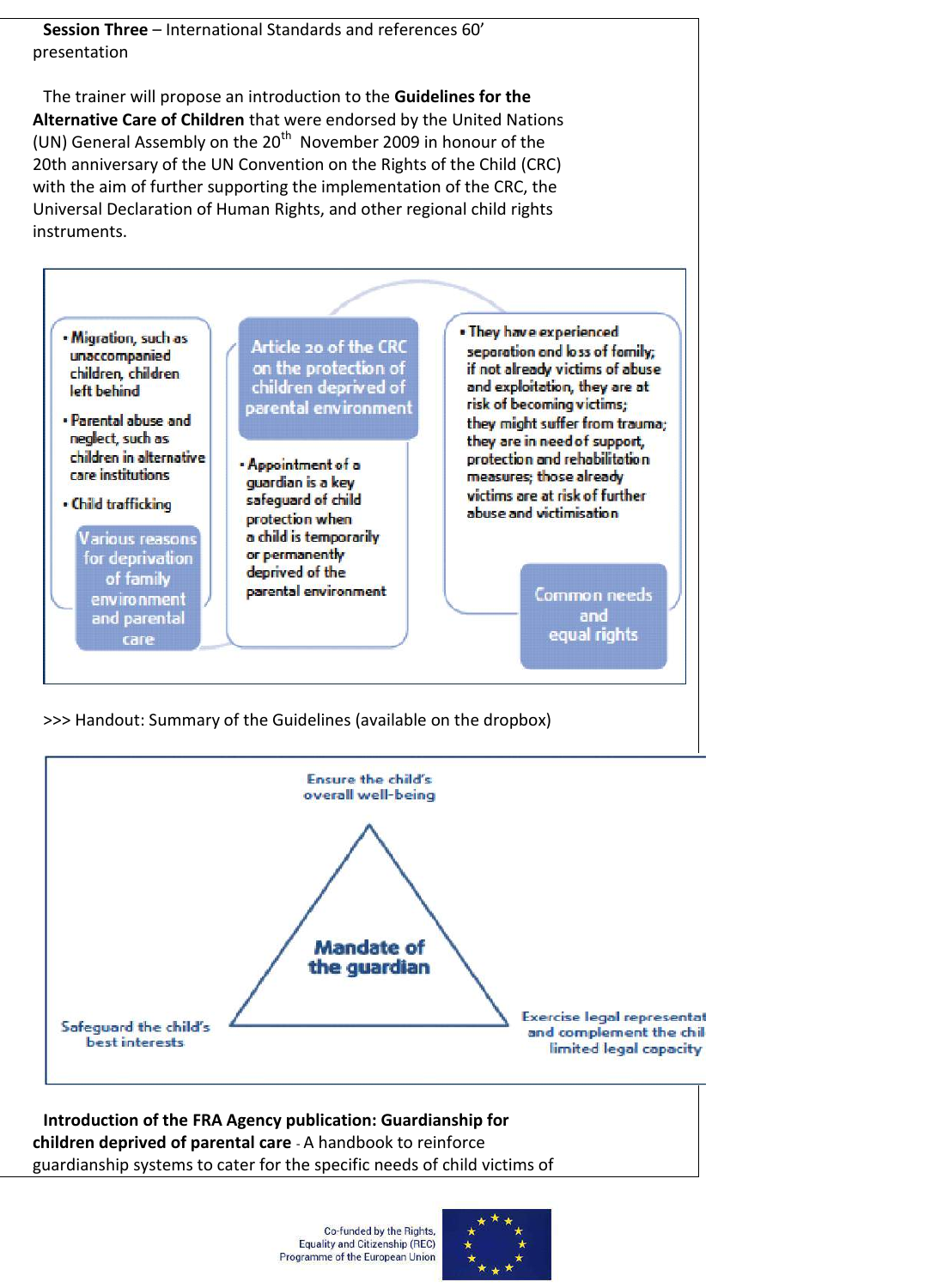**Session Three** – International Standards and references 60' presentation

The trainer will propose an introduction to the **Guidelines for the Alternative Care of Children** that were endorsed by the United Nations (UN) General Assembly on the  $20<sup>th</sup>$  November 2009 in honour of the 20th anniversary of the UN Convention on the Rights of the Child (CRC) with the aim of further supporting the implementation of the CRC, the Universal Declaration of Human Rights, and other regional child rights instruments.



>>> Handout: Summary of the Guidelines (available on the dropbox)



#### **Introduction of the FRA Agency publication: Guardianship for children deprived of parental care** - A handbook to reinforce guardianship systems to cater for the specific needs of child victims of

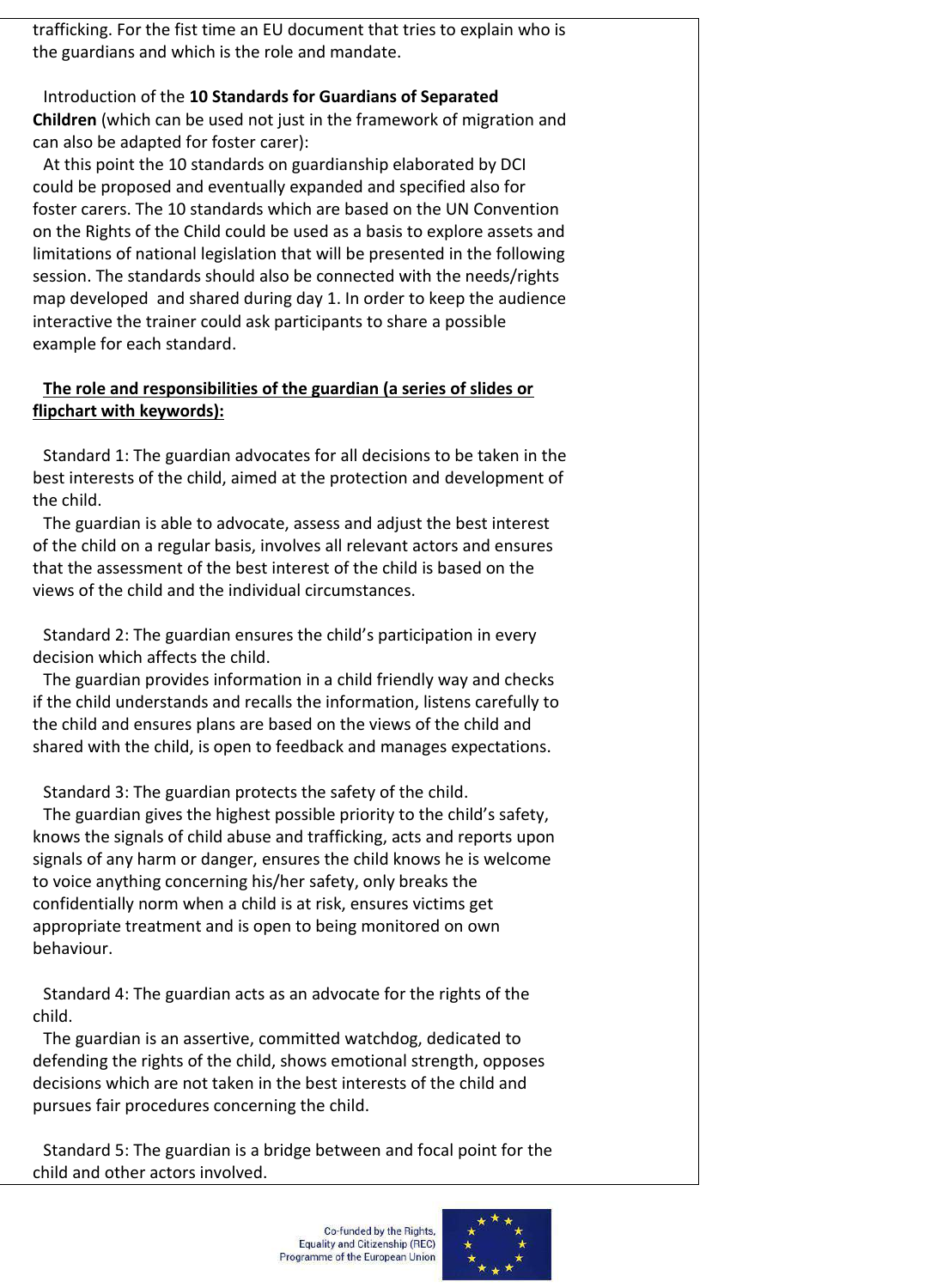trafficking. For the fist time an EU document that tries to explain who is the guardians and which is the role and mandate.

Introduction of the **10 Standards for Guardians of Separated Children** (which can be used not just in the framework of migration and can also be adapted for foster carer):

At this point the 10 standards on guardianship elaborated by DCI could be proposed and eventually expanded and specified also for foster carers. The 10 standards which are based on the UN Convention on the Rights of the Child could be used as a basis to explore assets and limitations of national legislation that will be presented in the following session. The standards should also be connected with the needs/rights map developed and shared during day 1. In order to keep the audience interactive the trainer could ask participants to share a possible example for each standard.

#### **The role and responsibilities of the guardian (a series of slides or flipchart with keywords):**

Standard 1: The guardian advocates for all decisions to be taken in the best interests of the child, aimed at the protection and development of the child.

The guardian is able to advocate, assess and adjust the best interest of the child on a regular basis, involves all relevant actors and ensures that the assessment of the best interest of the child is based on the views of the child and the individual circumstances.

Standard 2: The guardian ensures the child's participation in every decision which affects the child.

The guardian provides information in a child friendly way and checks if the child understands and recalls the information, listens carefully to the child and ensures plans are based on the views of the child and shared with the child, is open to feedback and manages expectations.

Standard 3: The guardian protects the safety of the child.

The guardian gives the highest possible priority to the child's safety, knows the signals of child abuse and trafficking, acts and reports upon signals of any harm or danger, ensures the child knows he is welcome to voice anything concerning his/her safety, only breaks the confidentially norm when a child is at risk, ensures victims get appropriate treatment and is open to being monitored on own behaviour.

Standard 4: The guardian acts as an advocate for the rights of the child.

The guardian is an assertive, committed watchdog, dedicated to defending the rights of the child, shows emotional strength, opposes decisions which are not taken in the best interests of the child and pursues fair procedures concerning the child.

Standard 5: The guardian is a bridge between and focal point for the child and other actors involved.

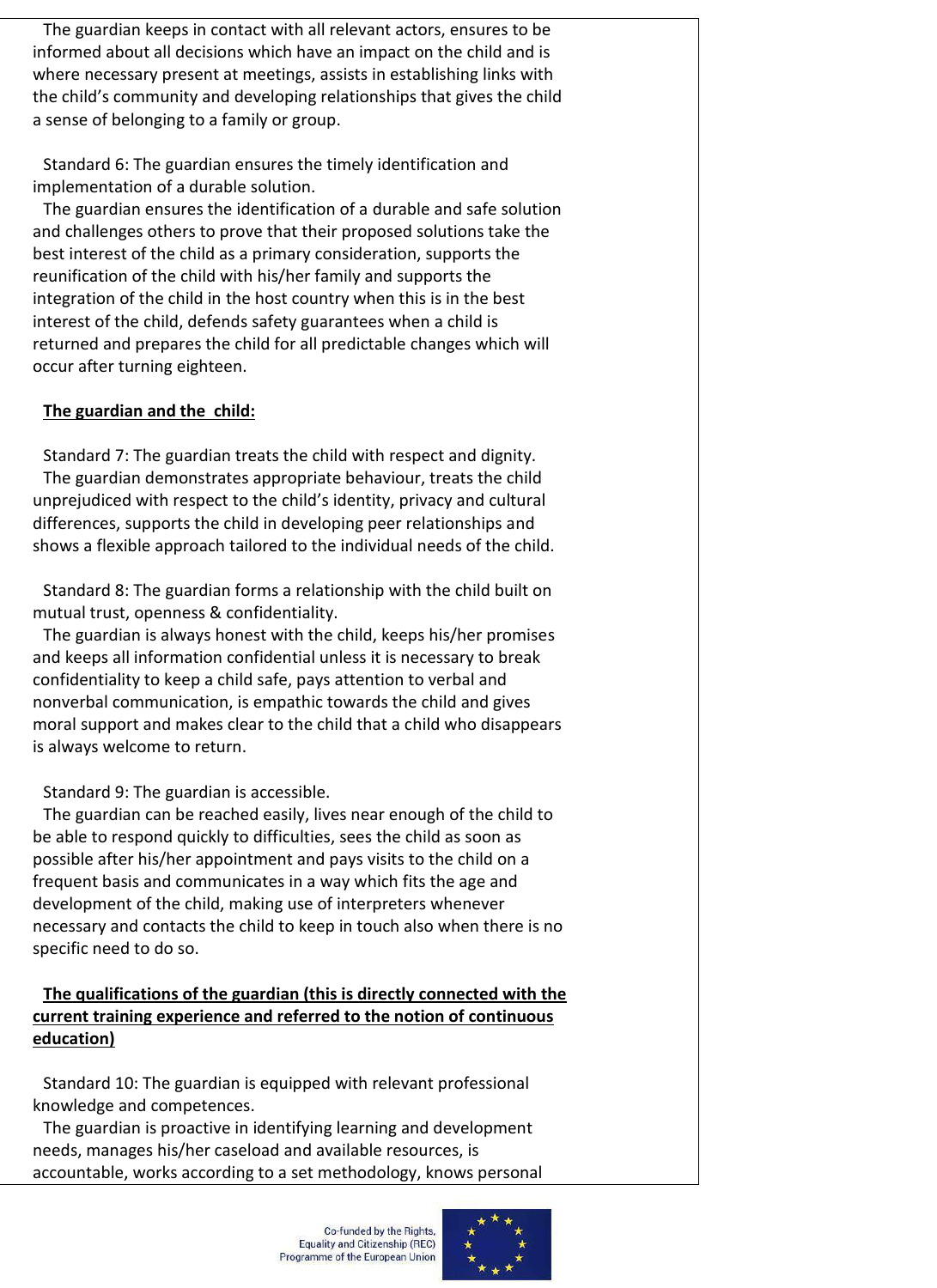The guardian keeps in contact with all relevant actors, ensures to be informed about all decisions which have an impact on the child and is where necessary present at meetings, assists in establishing links with the child's community and developing relationships that gives the child a sense of belonging to a family or group.

Standard 6: The guardian ensures the timely identification and implementation of a durable solution.

The guardian ensures the identification of a durable and safe solution and challenges others to prove that their proposed solutions take the best interest of the child as a primary consideration, supports the reunification of the child with his/her family and supports the integration of the child in the host country when this is in the best interest of the child, defends safety guarantees when a child is returned and prepares the child for all predictable changes which will occur after turning eighteen.

#### **The guardian and the child:**

Standard 7: The guardian treats the child with respect and dignity. The guardian demonstrates appropriate behaviour, treats the child unprejudiced with respect to the child's identity, privacy and cultural differences, supports the child in developing peer relationships and shows a flexible approach tailored to the individual needs of the child.

Standard 8: The guardian forms a relationship with the child built on mutual trust, openness & confidentiality.

The guardian is always honest with the child, keeps his/her promises and keeps all information confidential unless it is necessary to break confidentiality to keep a child safe, pays attention to verbal and nonverbal communication, is empathic towards the child and gives moral support and makes clear to the child that a child who disappears is always welcome to return.

Standard 9: The guardian is accessible.

The guardian can be reached easily, lives near enough of the child to be able to respond quickly to difficulties, sees the child as soon as possible after his/her appointment and pays visits to the child on a frequent basis and communicates in a way which fits the age and development of the child, making use of interpreters whenever necessary and contacts the child to keep in touch also when there is no specific need to do so.

## **The qualifications of the guardian (this is directly connected with the current training experience and referred to the notion of continuous education)**

Standard 10: The guardian is equipped with relevant professional knowledge and competences.

The guardian is proactive in identifying learning and development needs, manages his/her caseload and available resources, is accountable, works according to a set methodology, knows personal

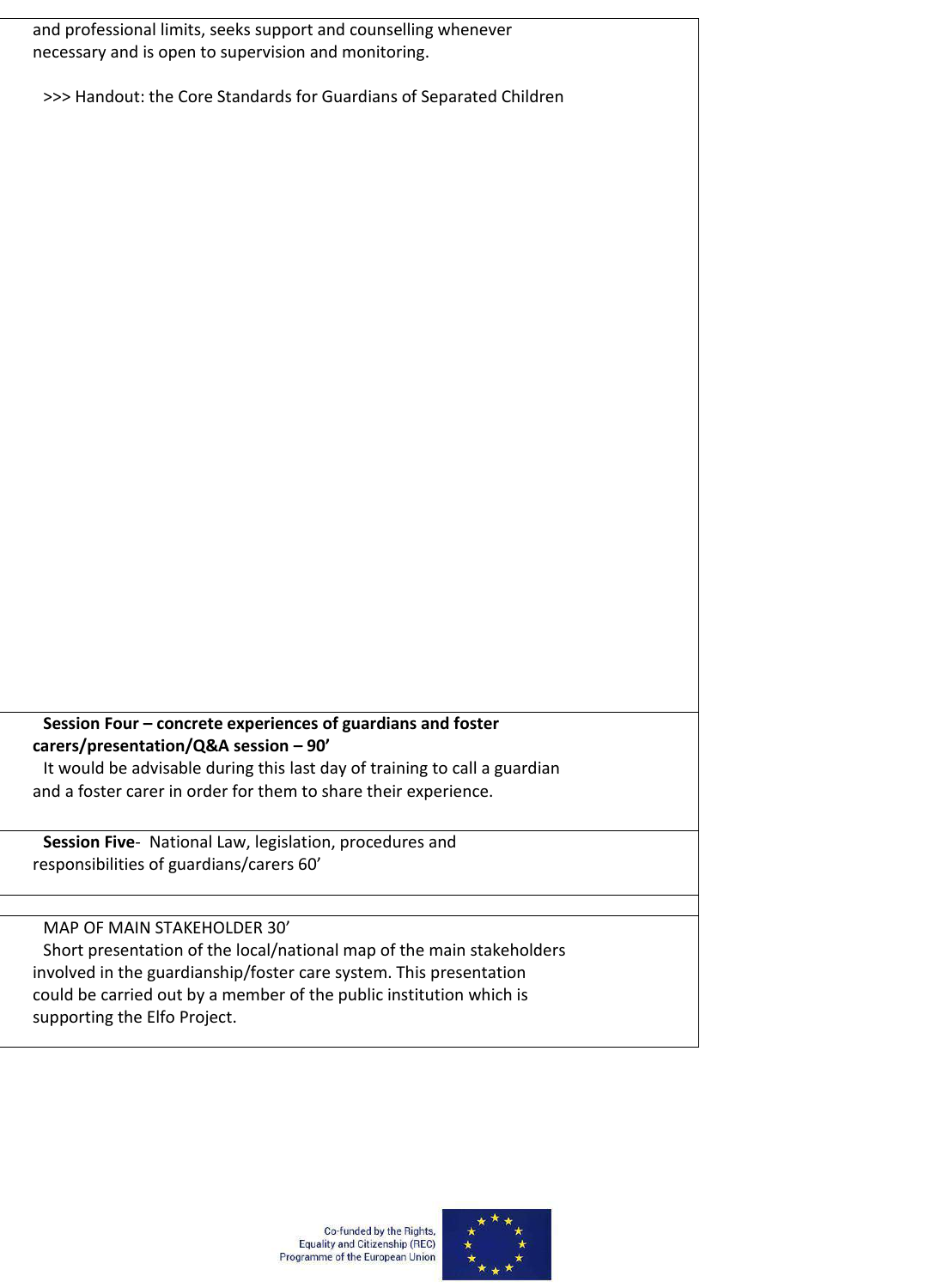and professional limits, seeks support and counselling whenever necessary and is open to supervision and monitoring.

>>> Handout: the Core Standards for Guardians of Separated Children

#### **Session Four – concrete experiences of guardians and foster carers/presentation/Q&A session – 90'** It would be advisable during this last day of training to call a guardian

and a foster carer in order for them to share their experience.

**Session Five**- National Law, legislation, procedures and responsibilities of guardians/carers 60'

#### MAP OF MAIN STAKEHOLDER 30'

Short presentation of the local/national map of the main stakeholders involved in the guardianship/foster care system. This presentation could be carried out by a member of the public institution which is supporting the Elfo Project.



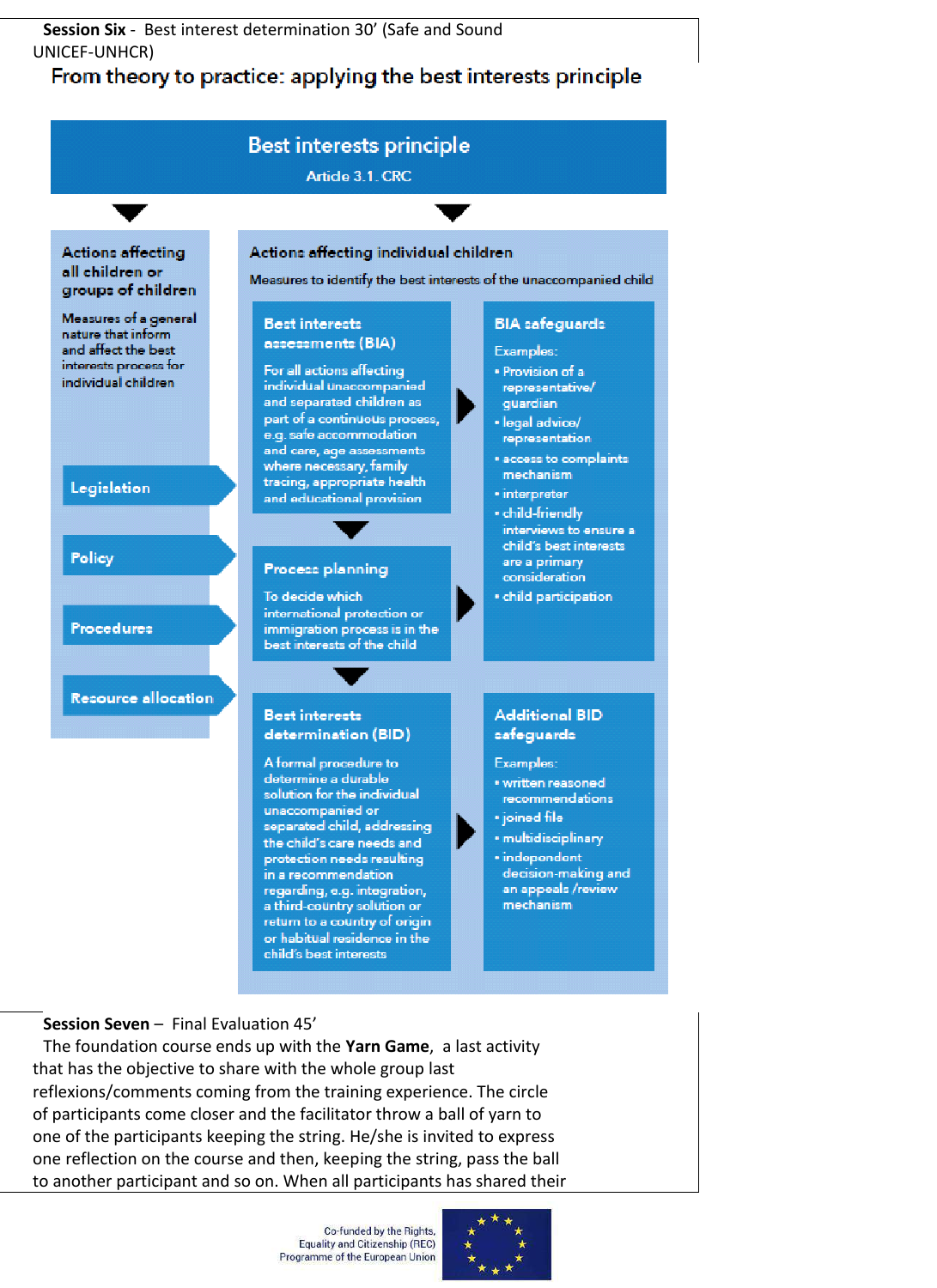#### **Session Six** - Best interest determination 30' (Safe and Sound UNICEF-UNHCR)

# From theory to practice: applying the best interests principle



an appeals /review mechanism

#### **Session Seven** – Final Evaluation 45'

The foundation course ends up with the **Yarn Game**, a last activity that has the objective to share with the whole group last reflexions/comments coming from the training experience. The circle of participants come closer and the facilitator throw a ball of yarn to one of the participants keeping the string. He/she is invited to express one reflection on the course and then, keeping the string, pass the ball to another participant and so on. When all participants has shared their

> Co-funded by the Rights, **Equality and Citizenship (REC)** Programme of the European Union

a third-country solution or

return to a country of origin or habitual residence in the child's best interests